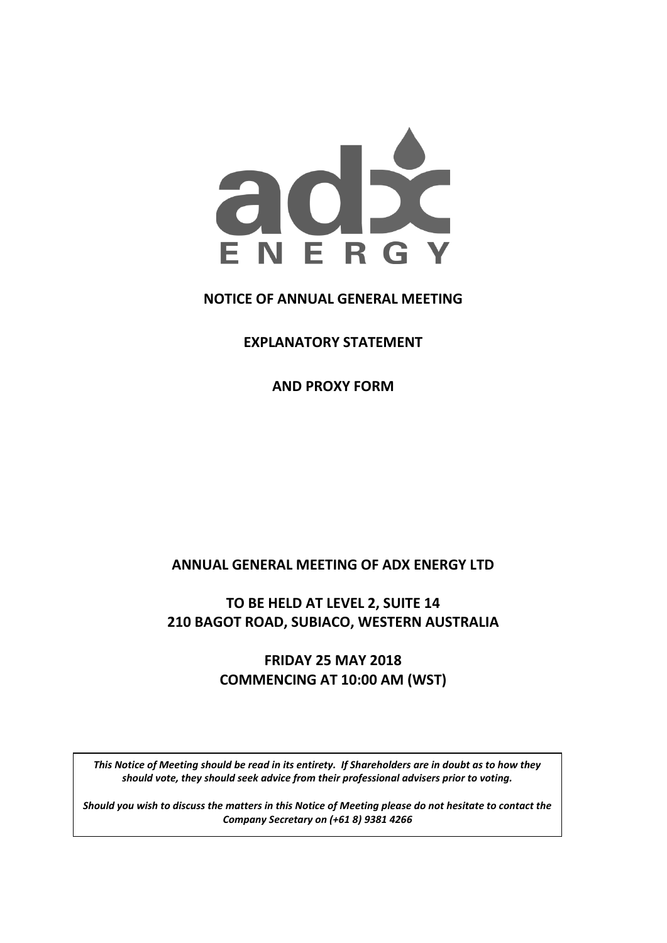

## **NOTICE OF ANNUAL GENERAL MEETING**

**EXPLANATORY STATEMENT** 

**AND PROXY FORM** 

## **ANNUAL GENERAL MEETING OF ADX ENERGY LTD**

## **TO BE HELD AT LEVEL 2, SUITE 14 210 BAGOT ROAD, SUBIACO, WESTERN AUSTRALIA**

# **FRIDAY 25 MAY 2018 COMMENCING AT 10:00 AM (WST)**

*S hould you wis h to discuss the matters in this Notice of Meeting pleas e do should vote, they should seek advice from their professional advisers prior to voting. This Notice of Meeting should be read in its entirety. If Shareholders are in doubt as to how they* 

*not hes itate to contact the C ompany S ecretary on (+61 8) [\*6]. Should you wish to discuss the matters in this Notice of Meeting please do not hesitate to contact the Company Secretary on (+61 8) 9381 4266*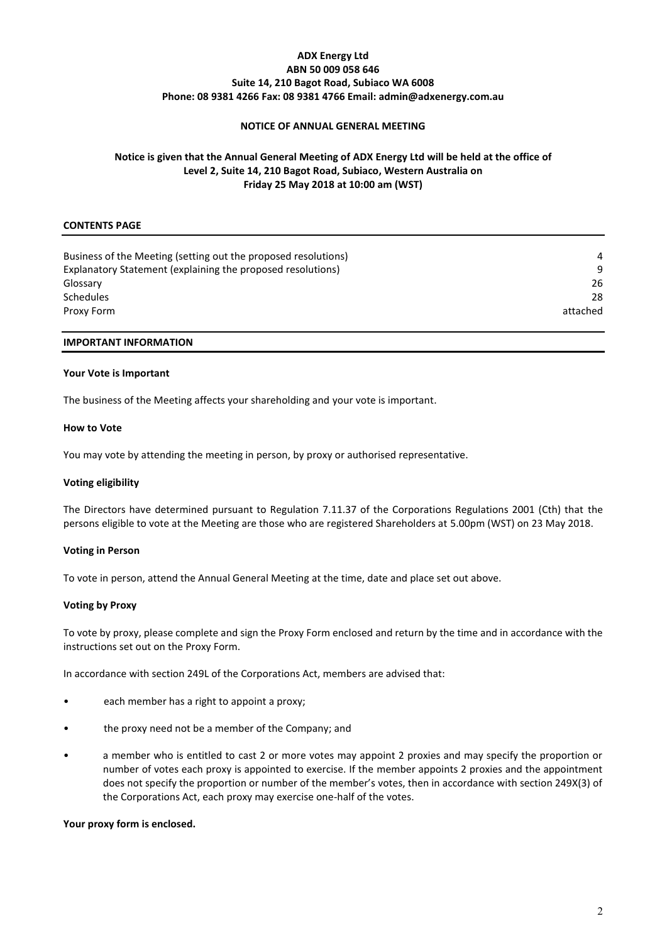## **ADX Energy Ltd ABN 50 009 058 646 Suite 14, 210 Bagot Road, Subiaco WA 6008 Phone: 08 9381 4266 Fax: 08 9381 4766 Email: admin@adxenergy.com.au**

## **NOTICE OF ANNUAL GENERAL MEETING**

## **Notice is given that the Annual General Meeting of ADX Energy Ltd will be held at the office of Level 2, Suite 14, 210 Bagot Road, Subiaco, Western Australia on Friday 25 May 2018 at 10:00 am (WST)**

## **CONTENTS PAGE**

| Business of the Meeting (setting out the proposed resolutions) | 4        |
|----------------------------------------------------------------|----------|
| Explanatory Statement (explaining the proposed resolutions)    | 9        |
| Glossary                                                       | 26       |
| <b>Schedules</b>                                               | 28       |
| Proxy Form                                                     | attached |
|                                                                |          |

## **IMPORTANT INFORMATION**

### **Your Vote is Important**

The business of the Meeting affects your shareholding and your vote is important.

### **How to Vote**

You may vote by attending the meeting in person, by proxy or authorised representative.

## **Voting eligibility**

The Directors have determined pursuant to Regulation 7.11.37 of the Corporations Regulations 2001 (Cth) that the persons eligible to vote at the Meeting are those who are registered Shareholders at 5.00pm (WST) on 23 May 2018.

## **Voting in Person**

To vote in person, attend the Annual General Meeting at the time, date and place set out above.

## **Voting by Proxy**

To vote by proxy, please complete and sign the Proxy Form enclosed and return by the time and in accordance with the instructions set out on the Proxy Form.

In accordance with section 249L of the Corporations Act, members are advised that:

- each member has a right to appoint a proxy;
- the proxy need not be a member of the Company; and
- a member who is entitled to cast 2 or more votes may appoint 2 proxies and may specify the proportion or number of votes each proxy is appointed to exercise. If the member appoints 2 proxies and the appointment does not specify the proportion or number of the member's votes, then in accordance with section 249X(3) of the Corporations Act, each proxy may exercise one-half of the votes.

#### **Your proxy form is enclosed.**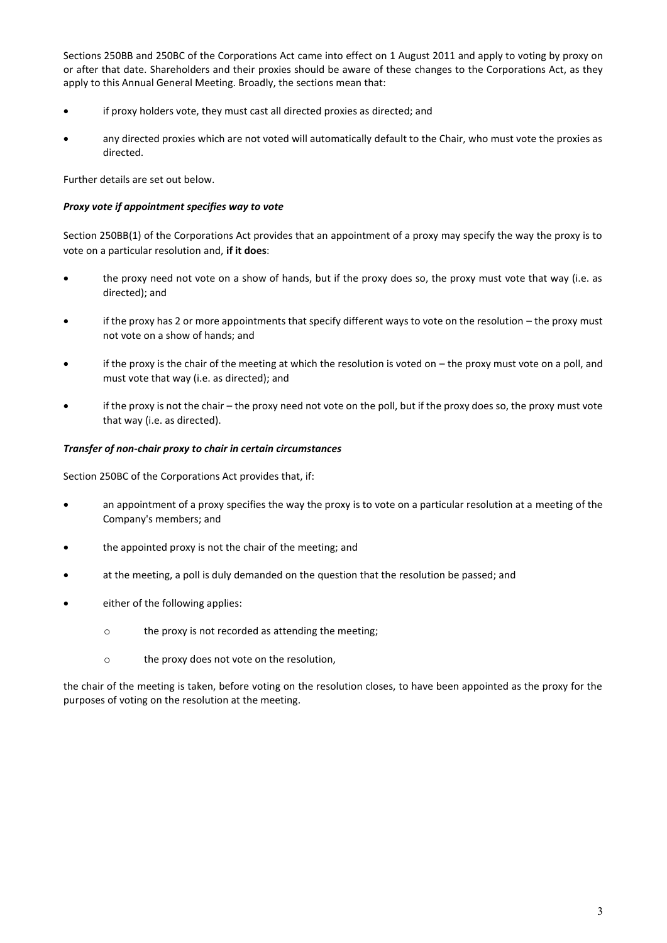Sections 250BB and 250BC of the Corporations Act came into effect on 1 August 2011 and apply to voting by proxy on or after that date. Shareholders and their proxies should be aware of these changes to the Corporations Act, as they apply to this Annual General Meeting. Broadly, the sections mean that:

- **•** if proxy holders vote, they must cast all directed proxies as directed; and
- any directed proxies which are not voted will automatically default to the Chair, who must vote the proxies as directed.

Further details are set out below.

## *Proxy vote if appointment specifies way to vote*

Section 250BB(1) of the Corporations Act provides that an appointment of a proxy may specify the way the proxy is to vote on a particular resolution and, **if it does**:

- the proxy need not vote on a show of hands, but if the proxy does so, the proxy must vote that way (i.e. as directed); and
- **•** if the proxy has 2 or more appointments that specify different ways to vote on the resolution the proxy must not vote on a show of hands; and
- if the proxy is the chair of the meeting at which the resolution is voted on  $-$  the proxy must vote on a poll, and must vote that way (i.e. as directed); and
- if the proxy is not the chair the proxy need not vote on the poll, but if the proxy does so, the proxy must vote that way (i.e. as directed).

## *Transfer of non-chair proxy to chair in certain circumstances*

Section 250BC of the Corporations Act provides that, if:

- an appointment of a proxy specifies the way the proxy is to vote on a particular resolution at a meeting of the Company's members; and
- the appointed proxy is not the chair of the meeting; and
- at the meeting, a poll is duly demanded on the question that the resolution be passed; and
- either of the following applies:
	- o the proxy is not recorded as attending the meeting;
	- o the proxy does not vote on the resolution,

the chair of the meeting is taken, before voting on the resolution closes, to have been appointed as the proxy for the purposes of voting on the resolution at the meeting.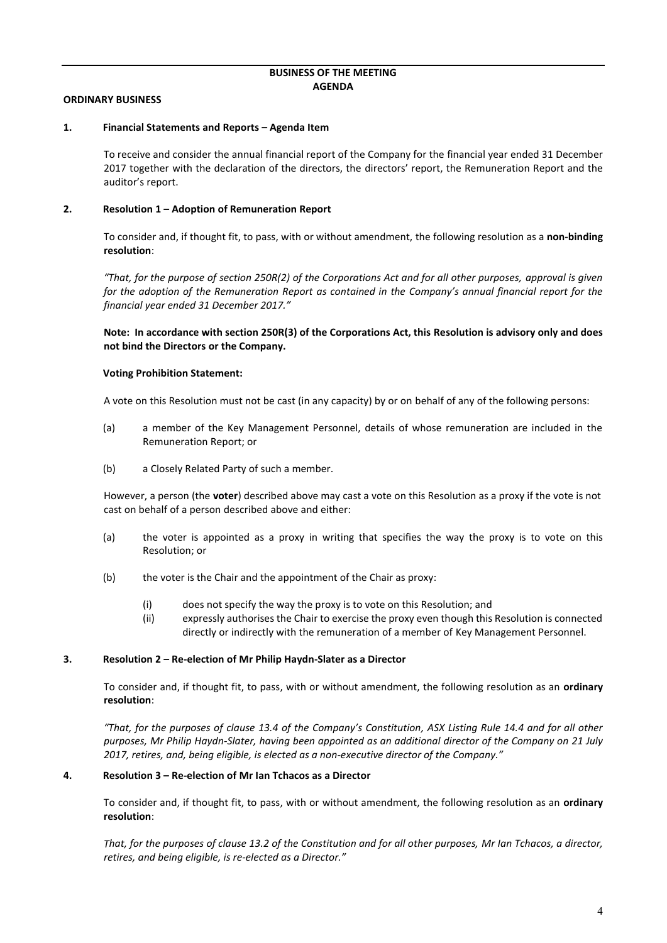### **BUSINESS OF THE MEETING AGENDA**

### **ORDINARY BUSINESS**

#### **1. Financial Statements and Reports – Agenda Item**

To receive and consider the annual financial report of the Company for the financial year ended 31 December 2017 together with the declaration of the directors, the directors' report, the Remuneration Report and the auditor's report.

## **2. Resolution 1 – Adoption of Remuneration Report**

To consider and, if thought fit, to pass, with or without amendment, the following resolution as a **non-binding resolution**:

*"That, for the purpose of section 250R(2) of the Corporations Act and for all other purposes, approval is given for the adoption of the Remuneration Report as contained in the Company's annual financial report for the financial year ended 31 December 2017."*

**Note: In accordance with section 250R(3) of the Corporations Act, this Resolution is advisory only and does not bind the Directors or the Company.**

### **Voting Prohibition Statement:**

A vote on this Resolution must not be cast (in any capacity) by or on behalf of any of the following persons:

- (a) a member of the Key Management Personnel, details of whose remuneration are included in the Remuneration Report; or
- (b) a Closely Related Party of such a member.

However, a person (the **voter**) described above may cast a vote on this Resolution as a proxy if the vote is not cast on behalf of a person described above and either:

- (a) the voter is appointed as a proxy in writing that specifies the way the proxy is to vote on this Resolution; or
- (b) the voter is the Chair and the appointment of the Chair as proxy:
	- (i) does not specify the way the proxy is to vote on this Resolution; and
	- (ii) expressly authorises the Chair to exercise the proxy even though this Resolution is connected directly or indirectly with the remuneration of a member of Key Management Personnel.

#### **3. Resolution 2 – Re-election of Mr Philip Haydn-Slater as a Director**

To consider and, if thought fit, to pass, with or without amendment, the following resolution as an **ordinary resolution**:

*"That, for the purposes of clause 13.4 of the Company's Constitution, ASX Listing Rule 14.4 and for all other purposes, Mr Philip Haydn-Slater, having been appointed as an additional director of the Company on 21 July 2017, retires, and, being eligible, is elected as a non-executive director of the Company."*

### **4. Resolution 3 – Re-election of Mr Ian Tchacos as a Director**

To consider and, if thought fit, to pass, with or without amendment, the following resolution as an **ordinary resolution**:

*That, for the purposes of clause 13.2 of the Constitution and for all other purposes, Mr Ian Tchacos, a director, retires, and being eligible, is re-elected as a Director."*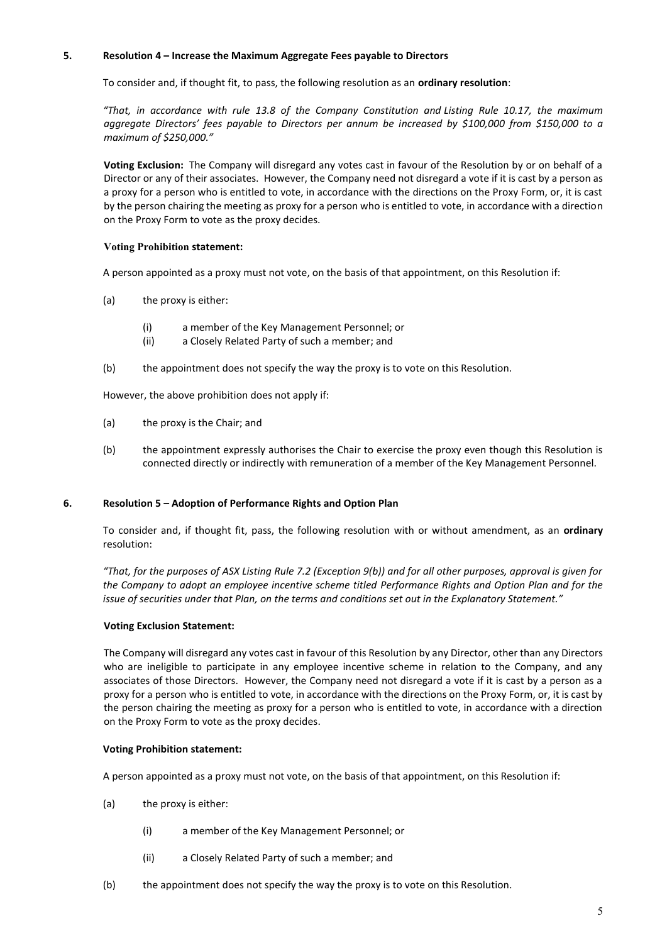## **5. Resolution 4 – Increase the Maximum Aggregate Fees payable to Directors**

To consider and, if thought fit, to pass, the following resolution as an **ordinary resolution**:

*"That, in accordance with rule 13.8 of the Company Constitution and Listing Rule 10.17, the maximum aggregate Directors' fees payable to Directors per annum be increased by \$100,000 from \$150,000 to a maximum of \$250,000."*

**Voting Exclusion:** The Company will disregard any votes cast in favour of the Resolution by or on behalf of a Director or any of their associates. However, the Company need not disregard a vote if it is cast by a person as a proxy for a person who is entitled to vote, in accordance with the directions on the Proxy Form, or, it is cast by the person chairing the meeting as proxy for a person who is entitled to vote, in accordance with a direction on the Proxy Form to vote as the proxy decides.

## **Voting Prohibition statement:**

A person appointed as a proxy must not vote, on the basis of that appointment, on this Resolution if:

- (a) the proxy is either:
	- (i) a member of the Key Management Personnel; or
	- (ii) a Closely Related Party of such a member; and
- (b) the appointment does not specify the way the proxy is to vote on this Resolution.

However, the above prohibition does not apply if:

- (a) the proxy is the Chair; and
- (b) the appointment expressly authorises the Chair to exercise the proxy even though this Resolution is connected directly or indirectly with remuneration of a member of the Key Management Personnel.

## **6. Resolution 5 – Adoption of Performance Rights and Option Plan**

To consider and, if thought fit, pass, the following resolution with or without amendment, as an **ordinary**  resolution:

*"That, for the purposes of ASX Listing Rule 7.2 (Exception 9(b)) and for all other purposes, approval is given for the Company to adopt an employee incentive scheme titled Performance Rights and Option Plan and for the issue of securities under that Plan, on the terms and conditions set out in the Explanatory Statement."* 

## **Voting Exclusion Statement:**

The Company will disregard any votes cast in favour of this Resolution by any Director, other than any Directors who are ineligible to participate in any employee incentive scheme in relation to the Company, and any associates of those Directors. However, the Company need not disregard a vote if it is cast by a person as a proxy for a person who is entitled to vote, in accordance with the directions on the Proxy Form, or, it is cast by the person chairing the meeting as proxy for a person who is entitled to vote, in accordance with a direction on the Proxy Form to vote as the proxy decides.

## **Voting Prohibition statement:**

A person appointed as a proxy must not vote, on the basis of that appointment, on this Resolution if:

- (a) the proxy is either:
	- (i) a member of the Key Management Personnel; or
	- (ii) a Closely Related Party of such a member; and
- (b) the appointment does not specify the way the proxy is to vote on this Resolution.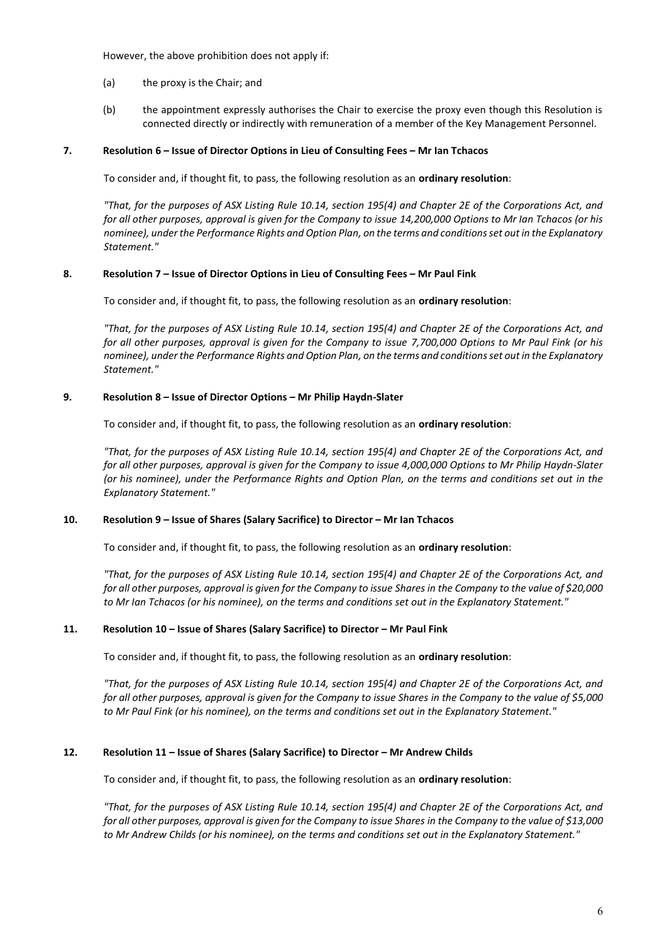However, the above prohibition does not apply if:

- (a) the proxy is the Chair; and
- (b) the appointment expressly authorises the Chair to exercise the proxy even though this Resolution is connected directly or indirectly with remuneration of a member of the Key Management Personnel.

### **7. Resolution 6 – Issue of Director Options in Lieu of Consulting Fees – Mr Ian Tchacos**

To consider and, if thought fit, to pass, the following resolution as an **ordinary resolution**:

*"That, for the purposes of ASX Listing Rule 10.14, section 195(4) and Chapter 2E of the Corporations Act, and for all other purposes, approval is given for the Company to issue 14,200,000 Options to Mr Ian Tchacos (or his nominee), under the Performance Rights and Option Plan, on the terms and conditions set out in the Explanatory Statement."* 

### **8. Resolution 7 – Issue of Director Options in Lieu of Consulting Fees – Mr Paul Fink**

To consider and, if thought fit, to pass, the following resolution as an **ordinary resolution**:

*"That, for the purposes of ASX Listing Rule 10.14, section 195(4) and Chapter 2E of the Corporations Act, and for all other purposes, approval is given for the Company to issue 7,700,000 Options to Mr Paul Fink (or his nominee), under the Performance Rights and Option Plan, on the terms and conditions set out in the Explanatory Statement."* 

### **9. Resolution 8 – Issue of Director Options – Mr Philip Haydn-Slater**

To consider and, if thought fit, to pass, the following resolution as an **ordinary resolution**:

*"That, for the purposes of ASX Listing Rule 10.14, section 195(4) and Chapter 2E of the Corporations Act, and for all other purposes, approval is given for the Company to issue 4,000,000 Options to Mr Philip Haydn-Slater (or his nominee), under the Performance Rights and Option Plan, on the terms and conditions set out in the Explanatory Statement."* 

## **10. Resolution 9 – Issue of Shares (Salary Sacrifice) to Director – Mr Ian Tchacos**

To consider and, if thought fit, to pass, the following resolution as an **ordinary resolution**:

*"That, for the purposes of ASX Listing Rule 10.14, section 195(4) and Chapter 2E of the Corporations Act, and for all other purposes, approval is given for the Company to issue Shares in the Company to the value of \$20,000 to Mr Ian Tchacos (or his nominee), on the terms and conditions set out in the Explanatory Statement."* 

## **11. Resolution 10 – Issue of Shares (Salary Sacrifice) to Director – Mr Paul Fink**

To consider and, if thought fit, to pass, the following resolution as an **ordinary resolution**:

*"That, for the purposes of ASX Listing Rule 10.14, section 195(4) and Chapter 2E of the Corporations Act, and for all other purposes, approval is given for the Company to issue Shares in the Company to the value of \$5,000 to Mr Paul Fink (or his nominee), on the terms and conditions set out in the Explanatory Statement."* 

## **12. Resolution 11 – Issue of Shares (Salary Sacrifice) to Director – Mr Andrew Childs**

To consider and, if thought fit, to pass, the following resolution as an **ordinary resolution**:

*"That, for the purposes of ASX Listing Rule 10.14, section 195(4) and Chapter 2E of the Corporations Act, and for all other purposes, approval is given for the Company to issue Shares in the Company to the value of \$13,000 to Mr Andrew Childs (or his nominee), on the terms and conditions set out in the Explanatory Statement."*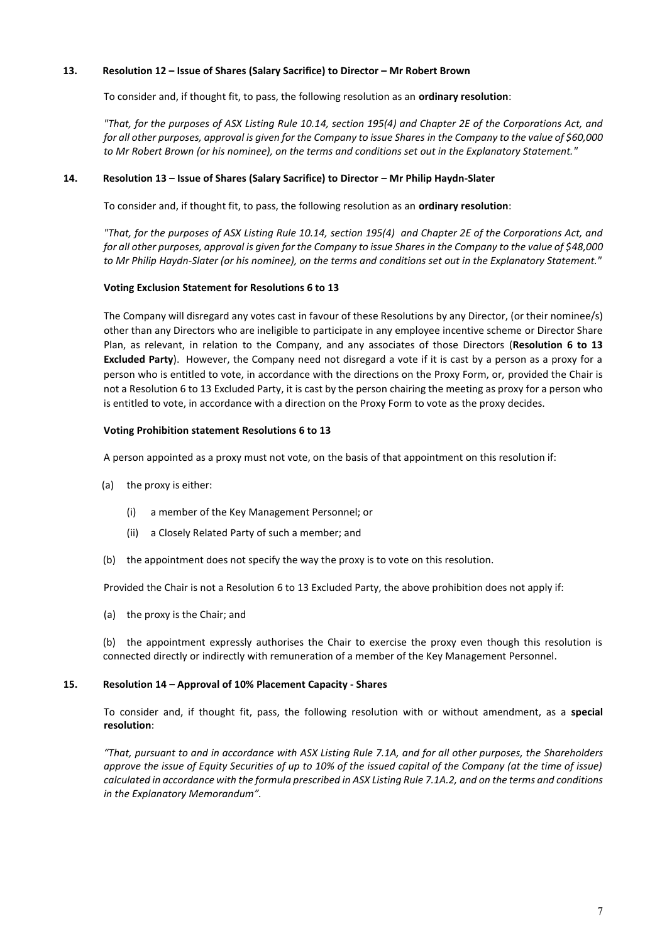## **13. Resolution 12 – Issue of Shares (Salary Sacrifice) to Director – Mr Robert Brown**

To consider and, if thought fit, to pass, the following resolution as an **ordinary resolution**:

*"That, for the purposes of ASX Listing Rule 10.14, section 195(4) and Chapter 2E of the Corporations Act, and for all other purposes, approval is given for the Company to issue Shares in the Company to the value of \$60,000 to Mr Robert Brown (or his nominee), on the terms and conditions set out in the Explanatory Statement."* 

### **14. Resolution 13 – Issue of Shares (Salary Sacrifice) to Director – Mr Philip Haydn-Slater**

To consider and, if thought fit, to pass, the following resolution as an **ordinary resolution**:

*"That, for the purposes of ASX Listing Rule 10.14, section 195(4) and Chapter 2E of the Corporations Act, and for all other purposes, approval is given for the Company to issue Shares in the Company to the value of \$48,000 to Mr Philip Haydn-Slater (or his nominee), on the terms and conditions set out in the Explanatory Statement."* 

### **Voting Exclusion Statement for Resolutions 6 to 13**

The Company will disregard any votes cast in favour of these Resolutions by any Director, (or their nominee/s) other than any Directors who are ineligible to participate in any employee incentive scheme or Director Share Plan, as relevant, in relation to the Company, and any associates of those Directors (**Resolution 6 to 13 Excluded Party**). However, the Company need not disregard a vote if it is cast by a person as a proxy for a person who is entitled to vote, in accordance with the directions on the Proxy Form, or, provided the Chair is not a Resolution 6 to 13 Excluded Party, it is cast by the person chairing the meeting as proxy for a person who is entitled to vote, in accordance with a direction on the Proxy Form to vote as the proxy decides.

### **Voting Prohibition statement Resolutions 6 to 13**

A person appointed as a proxy must not vote, on the basis of that appointment on this resolution if:

- (a) the proxy is either:
	- (i) a member of the Key Management Personnel; or
	- (ii) a Closely Related Party of such a member; and
- (b) the appointment does not specify the way the proxy is to vote on this resolution.

Provided the Chair is not a Resolution 6 to 13 Excluded Party, the above prohibition does not apply if:

(a) the proxy is the Chair; and

(b) the appointment expressly authorises the Chair to exercise the proxy even though this resolution is connected directly or indirectly with remuneration of a member of the Key Management Personnel.

#### **15. Resolution 14 – Approval of 10% Placement Capacity - Shares**

To consider and, if thought fit, pass, the following resolution with or without amendment, as a **special resolution**:

*"That, pursuant to and in accordance with ASX Listing Rule 7.1A, and for all other purposes, the Shareholders approve the issue of Equity Securities of up to 10% of the issued capital of the Company (at the time of issue) calculated in accordance with the formula prescribed in ASX Listing Rule 7.1A.2, and on the terms and conditions in the Explanatory Memorandum".*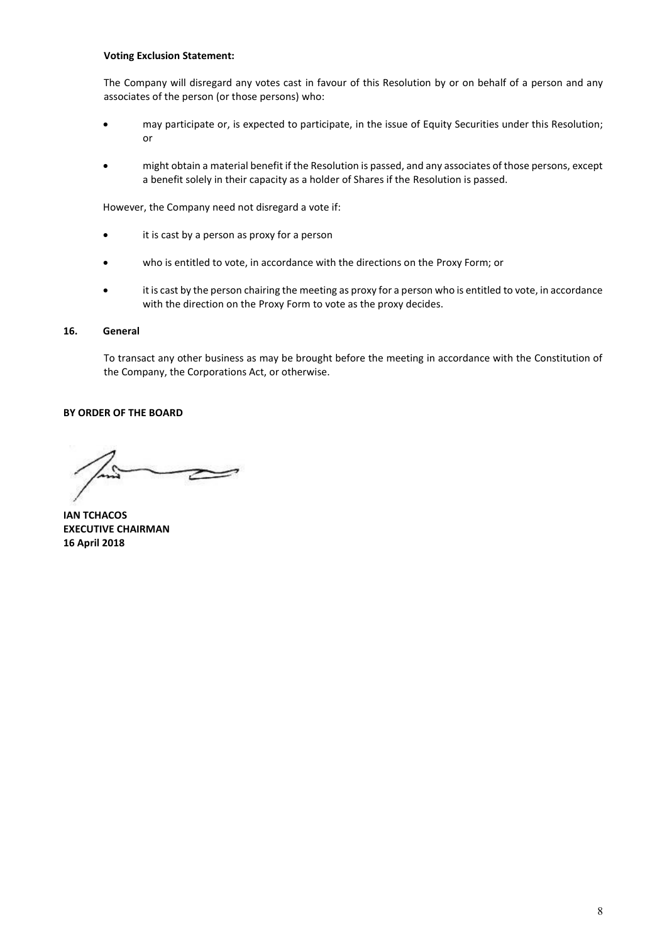## **Voting Exclusion Statement:**

The Company will disregard any votes cast in favour of this Resolution by or on behalf of a person and any associates of the person (or those persons) who:

- may participate or, is expected to participate, in the issue of Equity Securities under this Resolution; or
- might obtain a material benefit if the Resolution is passed, and any associates of those persons, except a benefit solely in their capacity as a holder of Shares if the Resolution is passed.

However, the Company need not disregard a vote if:

- it is cast by a person as proxy for a person
- x who is entitled to vote, in accordance with the directions on the Proxy Form; or
- it is cast by the person chairing the meeting as proxy for a person who is entitled to vote, in accordance with the direction on the Proxy Form to vote as the proxy decides.

### **16. General**

To transact any other business as may be brought before the meeting in accordance with the Constitution of the Company, the Corporations Act, or otherwise.

## **BY ORDER OF THE BOARD**

**IAN TCHACOS EXECUTIVE CHAIRMAN 16 April 2018**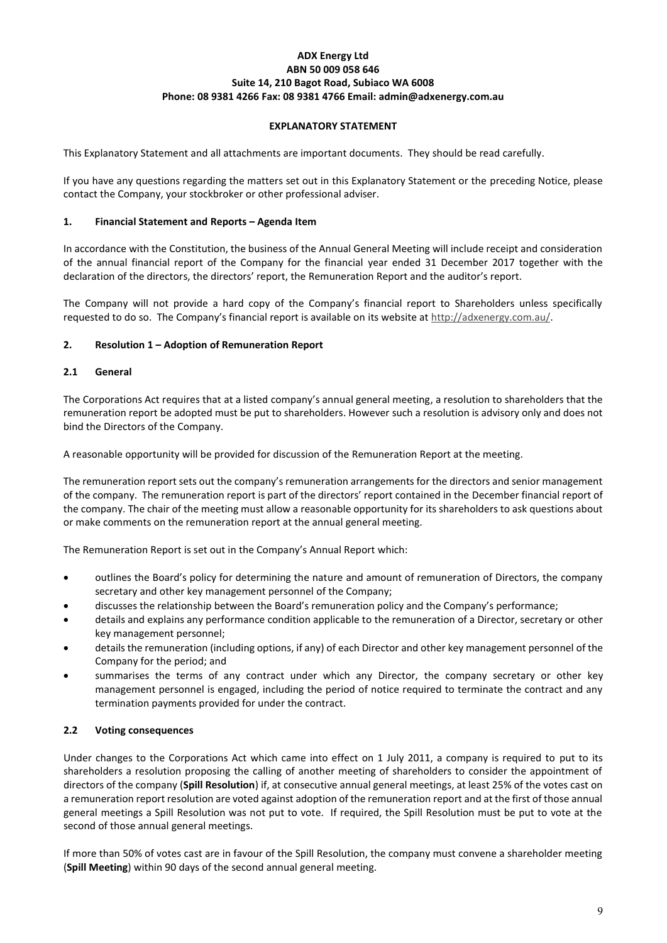## **ADX Energy Ltd ABN 50 009 058 646 Suite 14, 210 Bagot Road, Subiaco WA 6008 Phone: 08 9381 4266 Fax: 08 9381 4766 Email: admin@adxenergy.com.au**

## **EXPLANATORY STATEMENT**

This Explanatory Statement and all attachments are important documents. They should be read carefully.

If you have any questions regarding the matters set out in this Explanatory Statement or the preceding Notice, please contact the Company, your stockbroker or other professional adviser.

### **1. Financial Statement and Reports – Agenda Item**

In accordance with the Constitution, the business of the Annual General Meeting will include receipt and consideration of the annual financial report of the Company for the financial year ended 31 December 2017 together with the declaration of the directors, the directors' report, the Remuneration Report and the auditor's report.

The Company will not provide a hard copy of the Company's financial report to Shareholders unless specifically requested to do so. The Company's financial report is available on its website at http://adxenergy.com.au/.

## **2. Resolution 1 – Adoption of Remuneration Report**

## **2.1 General**

The Corporations Act requires that at a listed company's annual general meeting, a resolution to shareholders that the remuneration report be adopted must be put to shareholders. However such a resolution is advisory only and does not bind the Directors of the Company.

A reasonable opportunity will be provided for discussion of the Remuneration Report at the meeting.

The remuneration report sets out the company's remuneration arrangements for the directors and senior management of the company. The remuneration report is part of the directors' report contained in the December financial report of the company. The chair of the meeting must allow a reasonable opportunity for its shareholders to ask questions about or make comments on the remuneration report at the annual general meeting.

The Remuneration Report is set out in the Company's Annual Report which:

- outlines the Board's policy for determining the nature and amount of remuneration of Directors, the company secretary and other key management personnel of the Company;
- discusses the relationship between the Board's remuneration policy and the Company's performance;
- details and explains any performance condition applicable to the remuneration of a Director, secretary or other key management personnel;
- details the remuneration (including options, if any) of each Director and other key management personnel of the Company for the period; and
- summarises the terms of any contract under which any Director, the company secretary or other key management personnel is engaged, including the period of notice required to terminate the contract and any termination payments provided for under the contract.

## **2.2 Voting consequences**

Under changes to the Corporations Act which came into effect on 1 July 2011, a company is required to put to its shareholders a resolution proposing the calling of another meeting of shareholders to consider the appointment of directors of the company (**Spill Resolution**) if, at consecutive annual general meetings, at least 25% of the votes cast on a remuneration report resolution are voted against adoption of the remuneration report and at the first of those annual general meetings a Spill Resolution was not put to vote. If required, the Spill Resolution must be put to vote at the second of those annual general meetings.

If more than 50% of votes cast are in favour of the Spill Resolution, the company must convene a shareholder meeting (**Spill Meeting**) within 90 days of the second annual general meeting.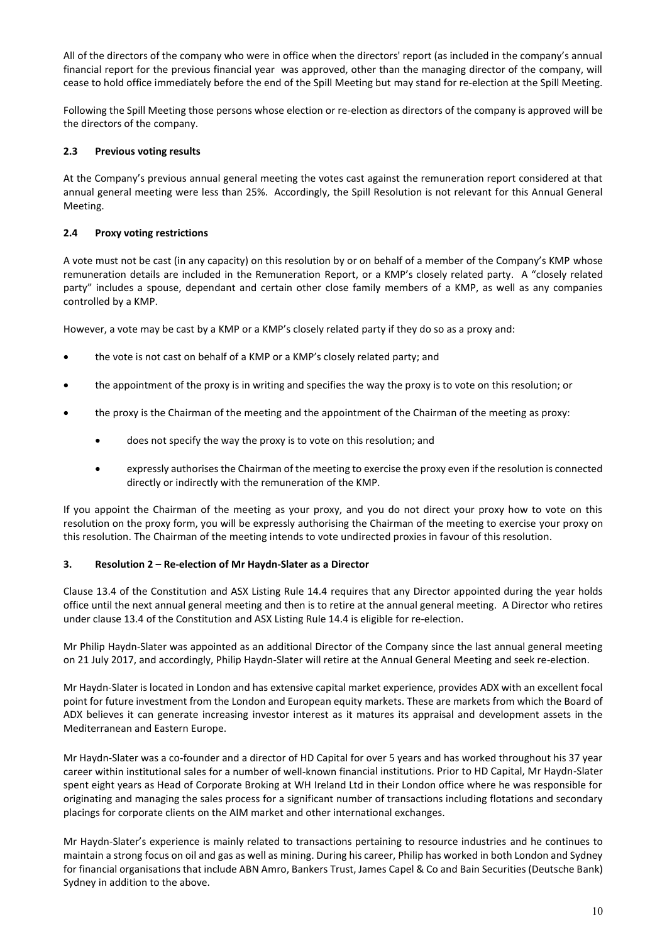All of the directors of the company who were in office when the directors' report (as included in the company's annual financial report for the previous financial year was approved, other than the managing director of the company, will cease to hold office immediately before the end of the Spill Meeting but may stand for re-election at the Spill Meeting.

Following the Spill Meeting those persons whose election or re-election as directors of the company is approved will be the directors of the company.

## **2.3 Previous voting results**

At the Company's previous annual general meeting the votes cast against the remuneration report considered at that annual general meeting were less than 25%. Accordingly, the Spill Resolution is not relevant for this Annual General Meeting.

## **2.4 Proxy voting restrictions**

A vote must not be cast (in any capacity) on this resolution by or on behalf of a member of the Company's KMP whose remuneration details are included in the Remuneration Report, or a KMP's closely related party. A "closely related party" includes a spouse, dependant and certain other close family members of a KMP, as well as any companies controlled by a KMP.

However, a vote may be cast by a KMP or a KMP's closely related party if they do so as a proxy and:

- the vote is not cast on behalf of a KMP or a KMP's closely related party; and
- the appointment of the proxy is in writing and specifies the way the proxy is to vote on this resolution; or
- the proxy is the Chairman of the meeting and the appointment of the Chairman of the meeting as proxy:
	- does not specify the way the proxy is to vote on this resolution; and
	- expressly authorises the Chairman of the meeting to exercise the proxy even if the resolution is connected directly or indirectly with the remuneration of the KMP.

If you appoint the Chairman of the meeting as your proxy, and you do not direct your proxy how to vote on this resolution on the proxy form, you will be expressly authorising the Chairman of the meeting to exercise your proxy on this resolution. The Chairman of the meeting intends to vote undirected proxies in favour of this resolution.

## **3. Resolution 2 – Re-election of Mr Haydn-Slater as a Director**

Clause 13.4 of the Constitution and ASX Listing Rule 14.4 requires that any Director appointed during the year holds office until the next annual general meeting and then is to retire at the annual general meeting. A Director who retires under clause 13.4 of the Constitution and ASX Listing Rule 14.4 is eligible for re-election.

Mr Philip Haydn-Slater was appointed as an additional Director of the Company since the last annual general meeting on 21 July 2017, and accordingly, Philip Haydn-Slater will retire at the Annual General Meeting and seek re-election.

Mr Haydn-Slater is located in London and has extensive capital market experience, provides ADX with an excellent focal point for future investment from the London and European equity markets. These are markets from which the Board of ADX believes it can generate increasing investor interest as it matures its appraisal and development assets in the Mediterranean and Eastern Europe.

Mr Haydn-Slater was a co-founder and a director of HD Capital for over 5 years and has worked throughout his 37 year career within institutional sales for a number of well-known financial institutions. Prior to HD Capital, Mr Haydn-Slater spent eight years as Head of Corporate Broking at WH Ireland Ltd in their London office where he was responsible for originating and managing the sales process for a significant number of transactions including flotations and secondary placings for corporate clients on the AIM market and other international exchanges.

Mr Haydn-Slater's experience is mainly related to transactions pertaining to resource industries and he continues to maintain a strong focus on oil and gas as well as mining. During his career, Philip has worked in both London and Sydney for financial organisations that include ABN Amro, Bankers Trust, James Capel & Co and Bain Securities (Deutsche Bank) Sydney in addition to the above.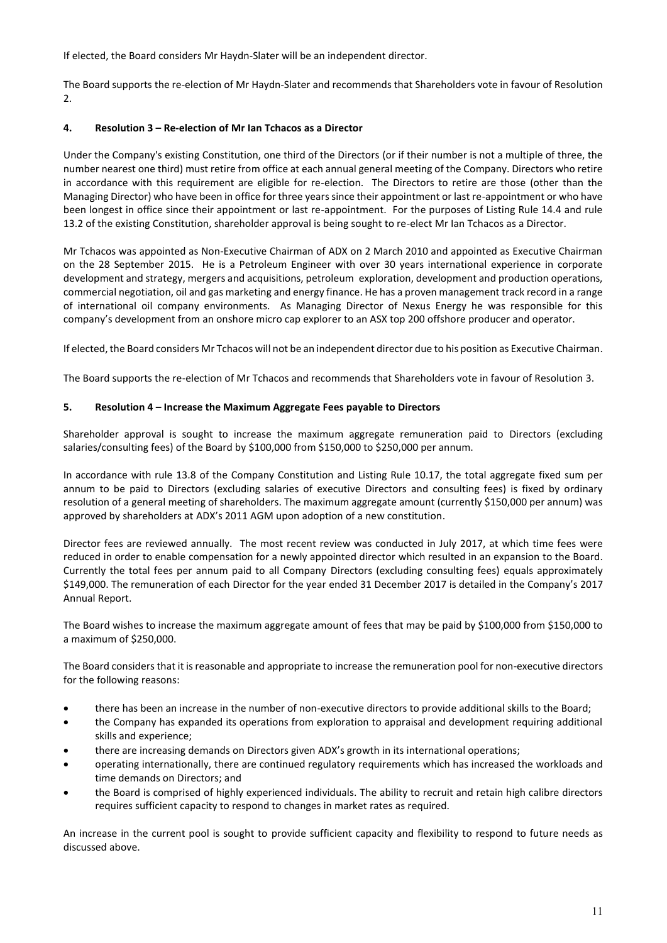If elected, the Board considers Mr Haydn-Slater will be an independent director.

The Board supports the re-election of Mr Haydn-Slater and recommends that Shareholders vote in favour of Resolution 2.

## **4. Resolution 3 – Re-election of Mr Ian Tchacos as a Director**

Under the Company's existing Constitution, one third of the Directors (or if their number is not a multiple of three, the number nearest one third) must retire from office at each annual general meeting of the Company. Directors who retire in accordance with this requirement are eligible for re-election. The Directors to retire are those (other than the Managing Director) who have been in office for three years since their appointment or last re-appointment or who have been longest in office since their appointment or last re-appointment. For the purposes of Listing Rule 14.4 and rule 13.2 of the existing Constitution, shareholder approval is being sought to re-elect Mr Ian Tchacos as a Director.

Mr Tchacos was appointed as Non-Executive Chairman of ADX on 2 March 2010 and appointed as Executive Chairman on the 28 September 2015. He is a Petroleum Engineer with over 30 years international experience in corporate development and strategy, mergers and acquisitions, petroleum exploration, development and production operations, commercial negotiation, oil and gas marketing and energy finance. He has a proven management track record in a range of international oil company environments. As Managing Director of Nexus Energy he was responsible for this company's development from an onshore micro cap explorer to an ASX top 200 offshore producer and operator.

If elected, the Board considers Mr Tchacos will not be an independent director due to his position as Executive Chairman.

The Board supports the re-election of Mr Tchacos and recommends that Shareholders vote in favour of Resolution 3.

## **5. Resolution 4 – Increase the Maximum Aggregate Fees payable to Directors**

Shareholder approval is sought to increase the maximum aggregate remuneration paid to Directors (excluding salaries/consulting fees) of the Board by \$100,000 from \$150,000 to \$250,000 per annum.

In accordance with rule 13.8 of the Company Constitution and Listing Rule 10.17, the total aggregate fixed sum per annum to be paid to Directors (excluding salaries of executive Directors and consulting fees) is fixed by ordinary resolution of a general meeting of shareholders. The maximum aggregate amount (currently \$150,000 per annum) was approved by shareholders at ADX's 2011 AGM upon adoption of a new constitution.

Director fees are reviewed annually. The most recent review was conducted in July 2017, at which time fees were reduced in order to enable compensation for a newly appointed director which resulted in an expansion to the Board. Currently the total fees per annum paid to all Company Directors (excluding consulting fees) equals approximately \$149,000. The remuneration of each Director for the year ended 31 December 2017 is detailed in the Company's 2017 Annual Report.

The Board wishes to increase the maximum aggregate amount of fees that may be paid by \$100,000 from \$150,000 to a maximum of \$250,000.

The Board considers that it is reasonable and appropriate to increase the remuneration pool for non-executive directors for the following reasons:

- there has been an increase in the number of non-executive directors to provide additional skills to the Board;
- the Company has expanded its operations from exploration to appraisal and development requiring additional skills and experience;
- there are increasing demands on Directors given ADX's growth in its international operations;
- operating internationally, there are continued regulatory requirements which has increased the workloads and time demands on Directors; and
- the Board is comprised of highly experienced individuals. The ability to recruit and retain high calibre directors requires sufficient capacity to respond to changes in market rates as required.

An increase in the current pool is sought to provide sufficient capacity and flexibility to respond to future needs as discussed above.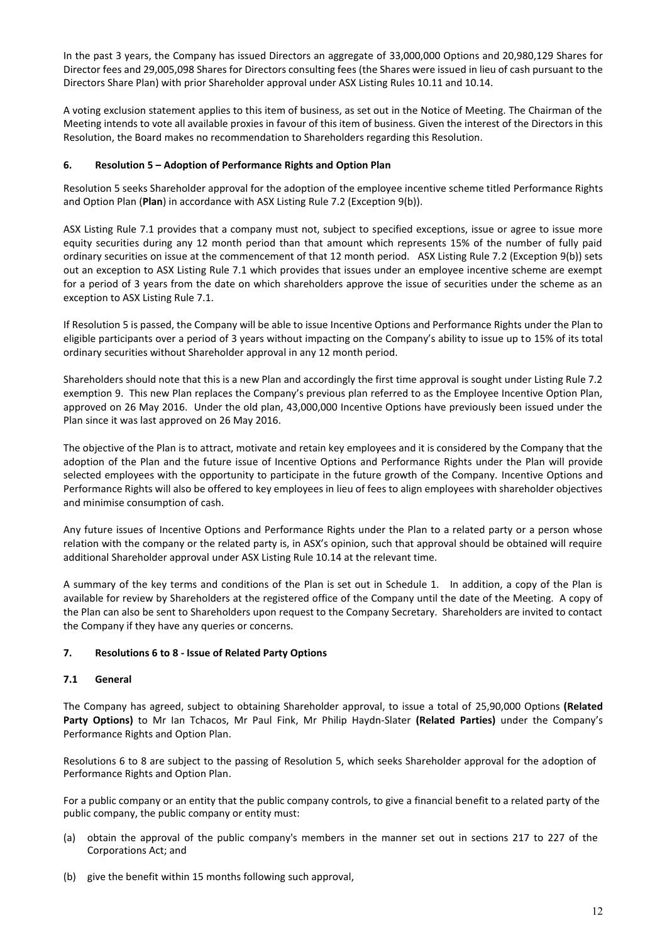In the past 3 years, the Company has issued Directors an aggregate of 33,000,000 Options and 20,980,129 Shares for Director fees and 29,005,098 Shares for Directors consulting fees (the Shares were issued in lieu of cash pursuant to the Directors Share Plan) with prior Shareholder approval under ASX Listing Rules 10.11 and 10.14.

A voting exclusion statement applies to this item of business, as set out in the Notice of Meeting. The Chairman of the Meeting intends to vote all available proxies in favour of this item of business. Given the interest of the Directors in this Resolution, the Board makes no recommendation to Shareholders regarding this Resolution.

## **6. Resolution 5 – Adoption of Performance Rights and Option Plan**

Resolution 5 seeks Shareholder approval for the adoption of the employee incentive scheme titled Performance Rights and Option Plan (**Plan**) in accordance with ASX Listing Rule 7.2 (Exception 9(b)).

ASX Listing Rule 7.1 provides that a company must not, subject to specified exceptions, issue or agree to issue more equity securities during any 12 month period than that amount which represents 15% of the number of fully paid ordinary securities on issue at the commencement of that 12 month period. ASX Listing Rule 7.2 (Exception 9(b)) sets out an exception to ASX Listing Rule 7.1 which provides that issues under an employee incentive scheme are exempt for a period of 3 years from the date on which shareholders approve the issue of securities under the scheme as an exception to ASX Listing Rule 7.1.

If Resolution 5 is passed, the Company will be able to issue Incentive Options and Performance Rights under the Plan to eligible participants over a period of 3 years without impacting on the Company's ability to issue up to 15% of its total ordinary securities without Shareholder approval in any 12 month period.

Shareholders should note that this is a new Plan and accordingly the first time approval is sought under Listing Rule 7.2 exemption 9. This new Plan replaces the Company's previous plan referred to as the Employee Incentive Option Plan, approved on 26 May 2016. Under the old plan, 43,000,000 Incentive Options have previously been issued under the Plan since it was last approved on 26 May 2016.

The objective of the Plan is to attract, motivate and retain key employees and it is considered by the Company that the adoption of the Plan and the future issue of Incentive Options and Performance Rights under the Plan will provide selected employees with the opportunity to participate in the future growth of the Company. Incentive Options and Performance Rights will also be offered to key employees in lieu of fees to align employees with shareholder objectives and minimise consumption of cash.

Any future issues of Incentive Options and Performance Rights under the Plan to a related party or a person whose relation with the company or the related party is, in ASX's opinion, such that approval should be obtained will require additional Shareholder approval under ASX Listing Rule 10.14 at the relevant time.

A summary of the key terms and conditions of the Plan is set out in Schedule 1. In addition, a copy of the Plan is available for review by Shareholders at the registered office of the Company until the date of the Meeting. A copy of the Plan can also be sent to Shareholders upon request to the Company Secretary. Shareholders are invited to contact the Company if they have any queries or concerns.

## **7. Resolutions 6 to 8 - Issue of Related Party Options**

## **7.1 General**

The Company has agreed, subject to obtaining Shareholder approval, to issue a total of 25,90,000 Options **(Related Party Options)** to Mr Ian Tchacos, Mr Paul Fink, Mr Philip Haydn-Slater **(Related Parties)** under the Company's Performance Rights and Option Plan.

Resolutions 6 to 8 are subject to the passing of Resolution 5, which seeks Shareholder approval for the adoption of Performance Rights and Option Plan.

For a public company or an entity that the public company controls, to give a financial benefit to a related party of the public company, the public company or entity must:

- (a) obtain the approval of the public company's members in the manner set out in sections 217 to 227 of the Corporations Act; and
- (b) give the benefit within 15 months following such approval,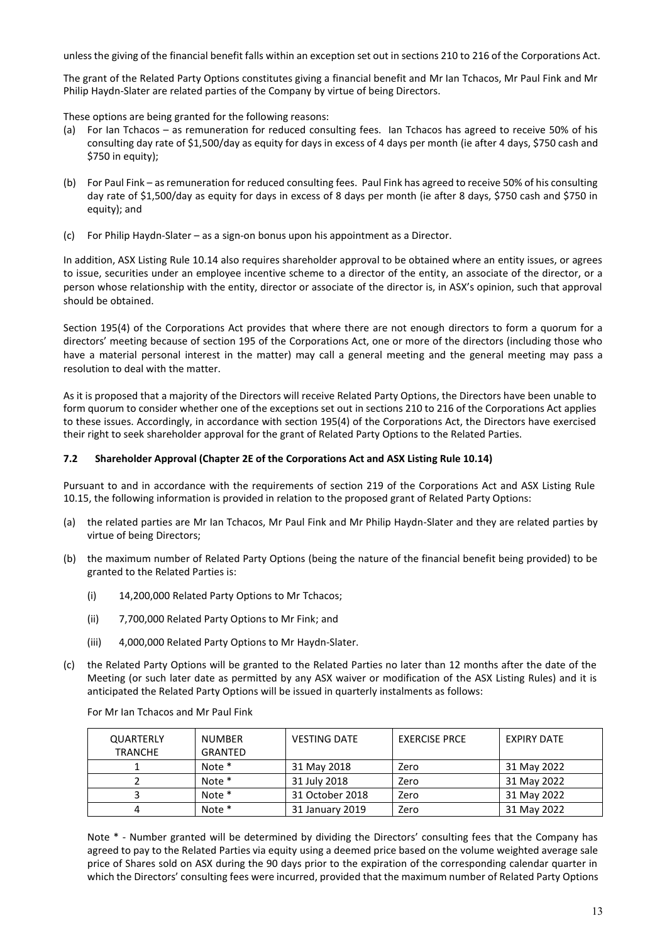unless the giving of the financial benefit falls within an exception set out in sections 210 to 216 of the Corporations Act.

The grant of the Related Party Options constitutes giving a financial benefit and Mr Ian Tchacos, Mr Paul Fink and Mr Philip Haydn-Slater are related parties of the Company by virtue of being Directors.

These options are being granted for the following reasons:

- (a) For Ian Tchacos as remuneration for reduced consulting fees. Ian Tchacos has agreed to receive 50% of his consulting day rate of \$1,500/day as equity for days in excess of 4 days per month (ie after 4 days, \$750 cash and \$750 in equity);
- (b) For Paul Fink as remuneration for reduced consulting fees. Paul Fink has agreed to receive 50% of his consulting day rate of \$1,500/day as equity for days in excess of 8 days per month (ie after 8 days, \$750 cash and \$750 in equity); and
- (c) For Philip Haydn-Slater as a sign-on bonus upon his appointment as a Director.

In addition, ASX Listing Rule 10.14 also requires shareholder approval to be obtained where an entity issues, or agrees to issue, securities under an employee incentive scheme to a director of the entity, an associate of the director, or a person whose relationship with the entity, director or associate of the director is, in ASX's opinion, such that approval should be obtained.

Section 195(4) of the Corporations Act provides that where there are not enough directors to form a quorum for a directors' meeting because of section 195 of the Corporations Act, one or more of the directors (including those who have a material personal interest in the matter) may call a general meeting and the general meeting may pass a resolution to deal with the matter.

As it is proposed that a majority of the Directors will receive Related Party Options, the Directors have been unable to form quorum to consider whether one of the exceptions set out in sections 210 to 216 of the Corporations Act applies to these issues. Accordingly, in accordance with section 195(4) of the Corporations Act, the Directors have exercised their right to seek shareholder approval for the grant of Related Party Options to the Related Parties.

## **7.2 Shareholder Approval (Chapter 2E of the Corporations Act and ASX Listing Rule 10.14)**

Pursuant to and in accordance with the requirements of section 219 of the Corporations Act and ASX Listing Rule 10.15, the following information is provided in relation to the proposed grant of Related Party Options:

- (a) the related parties are Mr Ian Tchacos, Mr Paul Fink and Mr Philip Haydn-Slater and they are related parties by virtue of being Directors;
- (b) the maximum number of Related Party Options (being the nature of the financial benefit being provided) to be granted to the Related Parties is:
	- (i) 14,200,000 Related Party Options to Mr Tchacos;
	- (ii) 7,700,000 Related Party Options to Mr Fink; and
	- (iii) 4,000,000 Related Party Options to Mr Haydn-Slater.
- (c) the Related Party Options will be granted to the Related Parties no later than 12 months after the date of the Meeting (or such later date as permitted by any ASX waiver or modification of the ASX Listing Rules) and it is anticipated the Related Party Options will be issued in quarterly instalments as follows:

For Mr Ian Tchacos and Mr Paul Fink

| QUARTERLY<br><b>TRANCHE</b> | <b>NUMBER</b><br>GRANTED | <b>VESTING DATE</b> | <b>EXERCISE PRCE</b> | <b>EXPIRY DATE</b> |
|-----------------------------|--------------------------|---------------------|----------------------|--------------------|
|                             | Note *                   | 31 May 2018         | Zero                 | 31 May 2022        |
|                             | Note *                   | 31 July 2018        | Zero                 | 31 May 2022        |
|                             | Note *                   | 31 October 2018     | Zero                 | 31 May 2022        |
|                             | Note *                   | 31 January 2019     | Zero                 | 31 May 2022        |

Note  $*$  - Number granted will be determined by dividing the Directors' consulting fees that the Company has agreed to pay to the Related Parties via equity using a deemed price based on the volume weighted average sale price of Shares sold on ASX during the 90 days prior to the expiration of the corresponding calendar quarter in which the Directors' consulting fees were incurred, provided that the maximum number of Related Party Options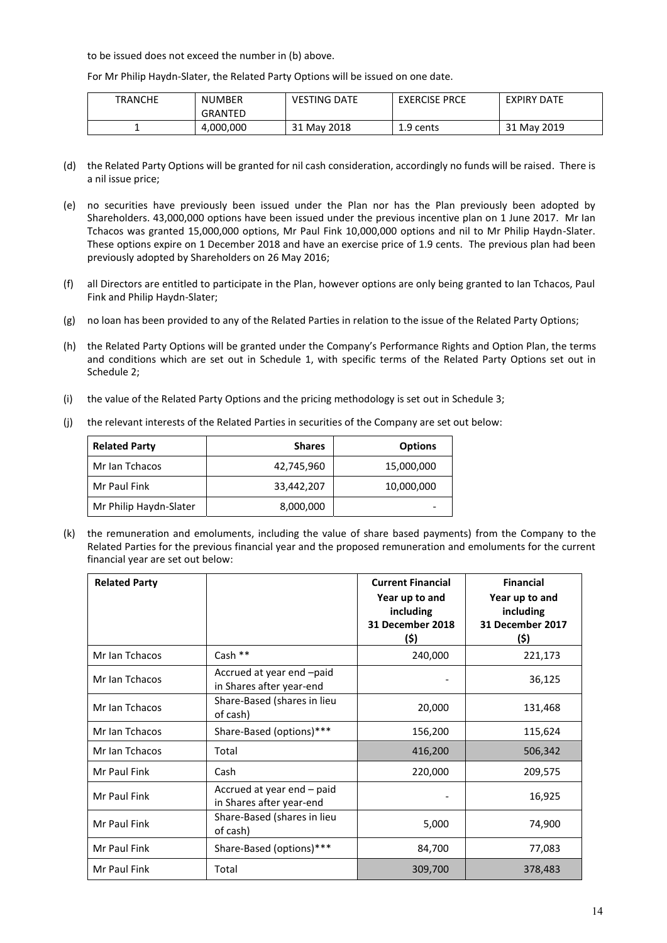to be issued does not exceed the number in (b) above.

For Mr Philip Haydn-Slater, the Related Party Options will be issued on one date.

| <b>TRANCHE</b> | <b>NUMBER</b>  | <b>VESTING DATE</b> | <b>EXERCISE PRCE</b> | <b>EXPIRY DATE</b> |
|----------------|----------------|---------------------|----------------------|--------------------|
|                | <b>GRANTED</b> |                     |                      |                    |
|                | 4,000,000      | 31 May 2018         | 1.9 cents            | 31 May 2019        |

- (d) the Related Party Options will be granted for nil cash consideration, accordingly no funds will be raised. There is a nil issue price;
- (e) no securities have previously been issued under the Plan nor has the Plan previously been adopted by Shareholders. 43,000,000 options have been issued under the previous incentive plan on 1 June 2017. Mr Ian Tchacos was granted 15,000,000 options, Mr Paul Fink 10,000,000 options and nil to Mr Philip Haydn-Slater. These options expire on 1 December 2018 and have an exercise price of 1.9 cents. The previous plan had been previously adopted by Shareholders on 26 May 2016;
- (f) all Directors are entitled to participate in the Plan, however options are only being granted to Ian Tchacos, Paul Fink and Philip Haydn-Slater;
- (g) no loan has been provided to any of the Related Parties in relation to the issue of the Related Party Options;
- (h) the Related Party Options will be granted under the Company's Performance Rights and Option Plan, the terms and conditions which are set out in Schedule 1, with specific terms of the Related Party Options set out in Schedule 2;
- (i) the value of the Related Party Options and the pricing methodology is set out in Schedule 3;
- (j) the relevant interests of the Related Parties in securities of the Company are set out below:

| <b>Related Party</b>   | <b>Shares</b> | <b>Options</b>  |
|------------------------|---------------|-----------------|
| Mr Ian Tchacos         | 42,745,960    | 15,000,000      |
| Mr Paul Fink           | 33,442,207    | 10,000,000      |
| Mr Philip Haydn-Slater | 8,000,000     | $\qquad \qquad$ |

(k) the remuneration and emoluments, including the value of share based payments) from the Company to the Related Parties for the previous financial year and the proposed remuneration and emoluments for the current financial year are set out below:

| <b>Related Party</b> |                                                        | <b>Current Financial</b><br>Year up to and<br>including<br>31 December 2018<br>(\$) | <b>Financial</b><br>Year up to and<br>including<br>31 December 2017<br>(\$) |
|----------------------|--------------------------------------------------------|-------------------------------------------------------------------------------------|-----------------------------------------------------------------------------|
| Mr Ian Tchacos       | Cash $**$                                              | 240,000                                                                             | 221,173                                                                     |
| Mr Ian Tchacos       | Accrued at year end -paid<br>in Shares after year-end  |                                                                                     | 36,125                                                                      |
| Mr Ian Tchacos       | Share-Based (shares in lieu<br>of cash)                | 20,000                                                                              | 131,468                                                                     |
| Mr Ian Tchacos       | Share-Based (options)***                               | 156,200                                                                             | 115,624                                                                     |
| Mr Ian Tchacos       | Total                                                  | 416,200                                                                             | 506,342                                                                     |
| Mr Paul Fink         | Cash                                                   | 220,000                                                                             | 209,575                                                                     |
| Mr Paul Fink         | Accrued at year end – paid<br>in Shares after year-end |                                                                                     | 16,925                                                                      |
| Mr Paul Fink         | Share-Based (shares in lieu<br>of cash)                | 5,000                                                                               | 74,900                                                                      |
| Mr Paul Fink         | Share-Based (options)***                               | 84,700                                                                              | 77,083                                                                      |
| Mr Paul Fink         | Total                                                  | 309,700                                                                             | 378,483                                                                     |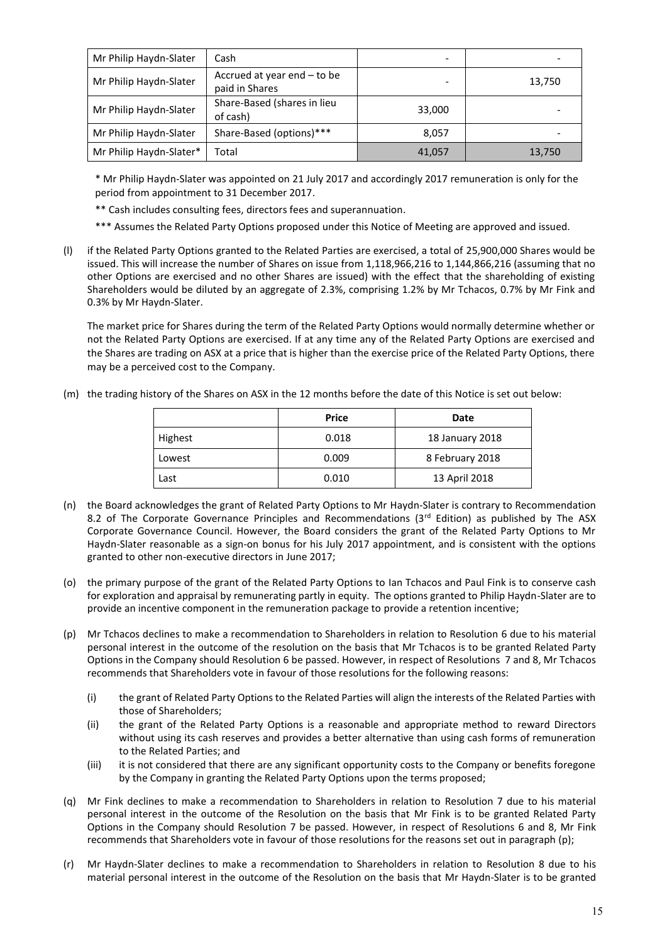| Mr Philip Haydn-Slater  | Cash                                            | $\overline{\phantom{a}}$ |        |
|-------------------------|-------------------------------------------------|--------------------------|--------|
| Mr Philip Haydn-Slater  | Accrued at year end $-$ to be<br>paid in Shares |                          | 13,750 |
| Mr Philip Haydn-Slater  | Share-Based (shares in lieu<br>of cash)         | 33,000                   |        |
| Mr Philip Haydn-Slater  | Share-Based (options)***                        | 8,057                    |        |
| Mr Philip Haydn-Slater* | Total                                           | 41,057                   | 13,750 |

\* Mr Philip Haydn-Slater was appointed on 21 July 2017 and accordingly 2017 remuneration is only for the period from appointment to 31 December 2017.

- \*\* Cash includes consulting fees, directors fees and superannuation.
- \*\*\* Assumes the Related Party Options proposed under this Notice of Meeting are approved and issued.
- (l) if the Related Party Options granted to the Related Parties are exercised, a total of 25,900,000 Shares would be issued. This will increase the number of Shares on issue from 1,118,966,216 to 1,144,866,216 (assuming that no other Options are exercised and no other Shares are issued) with the effect that the shareholding of existing Shareholders would be diluted by an aggregate of 2.3%, comprising 1.2% by Mr Tchacos, 0.7% by Mr Fink and 0.3% by Mr Haydn-Slater.

The market price for Shares during the term of the Related Party Options would normally determine whether or not the Related Party Options are exercised. If at any time any of the Related Party Options are exercised and the Shares are trading on ASX at a price that is higher than the exercise price of the Related Party Options, there may be a perceived cost to the Company.

(m) the trading history of the Shares on ASX in the 12 months before the date of this Notice is set out below:

|         | <b>Price</b> | Date            |
|---------|--------------|-----------------|
| Highest | 0.018        | 18 January 2018 |
| Lowest  | 0.009        | 8 February 2018 |
| Last    | 0.010        | 13 April 2018   |

- (n) the Board acknowledges the grant of Related Party Options to Mr Haydn-Slater is contrary to Recommendation 8.2 of The Corporate Governance Principles and Recommendations (3rd Edition) as published by The ASX Corporate Governance Council. However, the Board considers the grant of the Related Party Options to Mr Haydn-Slater reasonable as a sign-on bonus for his July 2017 appointment, and is consistent with the options granted to other non-executive directors in June 2017;
- (o) the primary purpose of the grant of the Related Party Options to Ian Tchacos and Paul Fink is to conserve cash for exploration and appraisal by remunerating partly in equity. The options granted to Philip Haydn-Slater are to provide an incentive component in the remuneration package to provide a retention incentive;
- (p) Mr Tchacos declines to make a recommendation to Shareholders in relation to Resolution 6 due to his material personal interest in the outcome of the resolution on the basis that Mr Tchacos is to be granted Related Party Options in the Company should Resolution 6 be passed. However, in respect of Resolutions 7 and 8, Mr Tchacos recommends that Shareholders vote in favour of those resolutions for the following reasons:
	- (i) the grant of Related Party Options to the Related Parties will align the interests of the Related Parties with those of Shareholders;
	- (ii) the grant of the Related Party Options is a reasonable and appropriate method to reward Directors without using its cash reserves and provides a better alternative than using cash forms of remuneration to the Related Parties; and
	- (iii) it is not considered that there are any significant opportunity costs to the Company or benefits foregone by the Company in granting the Related Party Options upon the terms proposed;
- (q) Mr Fink declines to make a recommendation to Shareholders in relation to Resolution 7 due to his material personal interest in the outcome of the Resolution on the basis that Mr Fink is to be granted Related Party Options in the Company should Resolution 7 be passed. However, in respect of Resolutions 6 and 8, Mr Fink recommends that Shareholders vote in favour of those resolutions for the reasons set out in paragraph (p);
- (r) Mr Haydn-Slater declines to make a recommendation to Shareholders in relation to Resolution 8 due to his material personal interest in the outcome of the Resolution on the basis that Mr Haydn-Slater is to be granted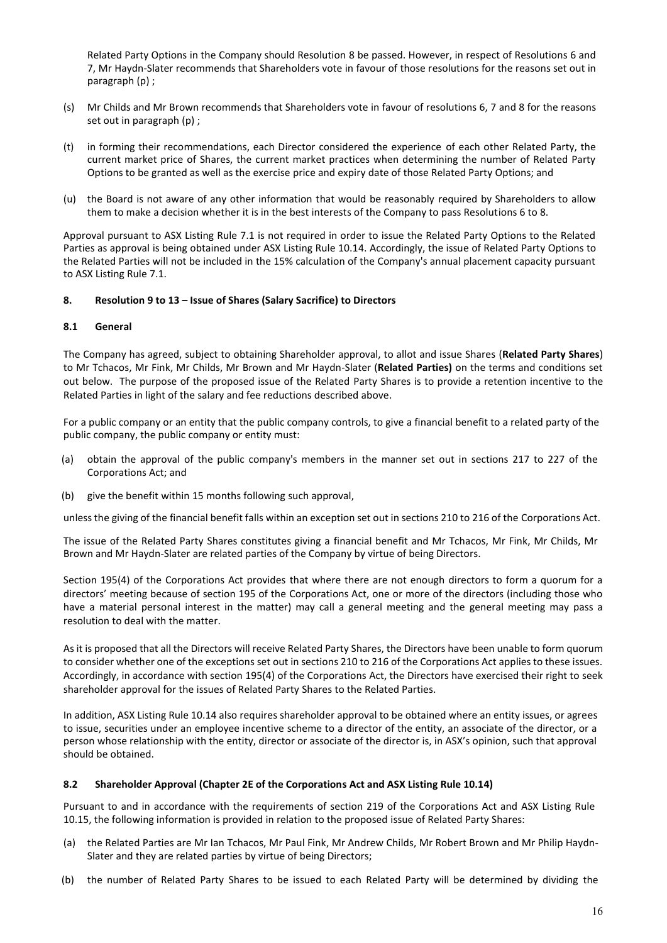Related Party Options in the Company should Resolution 8 be passed. However, in respect of Resolutions 6 and 7, Mr Haydn-Slater recommends that Shareholders vote in favour of those resolutions for the reasons set out in paragraph (p) ;

- (s) Mr Childs and Mr Brown recommends that Shareholders vote in favour of resolutions 6, 7 and 8 for the reasons set out in paragraph (p) ;
- (t) in forming their recommendations, each Director considered the experience of each other Related Party, the current market price of Shares, the current market practices when determining the number of Related Party Options to be granted as well as the exercise price and expiry date of those Related Party Options; and
- (u) the Board is not aware of any other information that would be reasonably required by Shareholders to allow them to make a decision whether it is in the best interests of the Company to pass Resolutions 6 to 8.

Approval pursuant to ASX Listing Rule 7.1 is not required in order to issue the Related Party Options to the Related Parties as approval is being obtained under ASX Listing Rule 10.14. Accordingly, the issue of Related Party Options to the Related Parties will not be included in the 15% calculation of the Company's annual placement capacity pursuant to ASX Listing Rule 7.1.

## **8. Resolution 9 to 13 – Issue of Shares (Salary Sacrifice) to Directors**

## **8.1 General**

The Company has agreed, subject to obtaining Shareholder approval, to allot and issue Shares (**Related Party Shares**) to Mr Tchacos, Mr Fink, Mr Childs, Mr Brown and Mr Haydn-Slater (**Related Parties)** on the terms and conditions set out below. The purpose of the proposed issue of the Related Party Shares is to provide a retention incentive to the Related Parties in light of the salary and fee reductions described above.

For a public company or an entity that the public company controls, to give a financial benefit to a related party of the public company, the public company or entity must:

- (a) obtain the approval of the public company's members in the manner set out in sections 217 to 227 of the Corporations Act; and
- (b) give the benefit within 15 months following such approval,

unless the giving of the financial benefit falls within an exception set out in sections 210 to 216 of the Corporations Act.

The issue of the Related Party Shares constitutes giving a financial benefit and Mr Tchacos, Mr Fink, Mr Childs, Mr Brown and Mr Haydn-Slater are related parties of the Company by virtue of being Directors.

Section 195(4) of the Corporations Act provides that where there are not enough directors to form a quorum for a directors' meeting because of section 195 of the Corporations Act, one or more of the directors (including those who have a material personal interest in the matter) may call a general meeting and the general meeting may pass a resolution to deal with the matter.

As it is proposed that all the Directors will receive Related Party Shares, the Directors have been unable to form quorum to consider whether one of the exceptions set out in sections 210 to 216 of the Corporations Act applies to these issues. Accordingly, in accordance with section 195(4) of the Corporations Act, the Directors have exercised their right to seek shareholder approval for the issues of Related Party Shares to the Related Parties.

In addition, ASX Listing Rule 10.14 also requires shareholder approval to be obtained where an entity issues, or agrees to issue, securities under an employee incentive scheme to a director of the entity, an associate of the director, or a person whose relationship with the entity, director or associate of the director is, in ASX's opinion, such that approval should be obtained.

## **8.2 Shareholder Approval (Chapter 2E of the Corporations Act and ASX Listing Rule 10.14)**

Pursuant to and in accordance with the requirements of section 219 of the Corporations Act and ASX Listing Rule 10.15, the following information is provided in relation to the proposed issue of Related Party Shares:

- (a) the Related Parties are Mr Ian Tchacos, Mr Paul Fink, Mr Andrew Childs, Mr Robert Brown and Mr Philip Haydn-Slater and they are related parties by virtue of being Directors;
- (b) the number of Related Party Shares to be issued to each Related Party will be determined by dividing the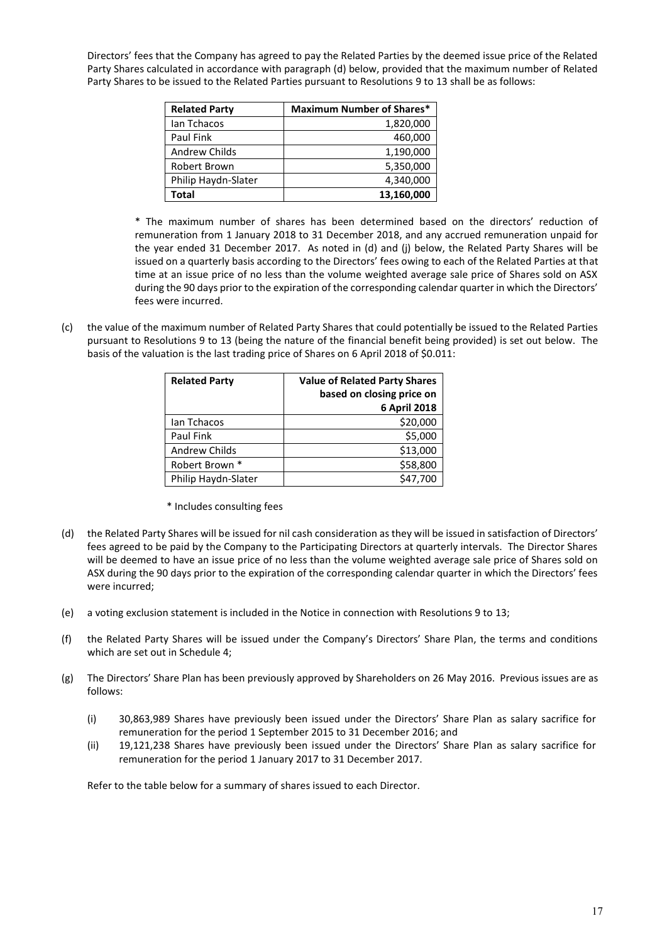Directors' fees that the Company has agreed to pay the Related Parties by the deemed issue price of the Related Party Shares calculated in accordance with paragraph (d) below, provided that the maximum number of Related Party Shares to be issued to the Related Parties pursuant to Resolutions 9 to 13 shall be as follows:

| <b>Related Party</b> | <b>Maximum Number of Shares*</b> |
|----------------------|----------------------------------|
| lan Tchacos          | 1,820,000                        |
| Paul Fink            | 460,000                          |
| <b>Andrew Childs</b> | 1,190,000                        |
| Robert Brown         | 5,350,000                        |
| Philip Haydn-Slater  | 4,340,000                        |
| Total                | 13,160,000                       |

\* The maximum number of shares has been determined based on the directors' reduction of remuneration from 1 January 2018 to 31 December 2018, and any accrued remuneration unpaid for the year ended 31 December 2017. As noted in (d) and (j) below, the Related Party Shares will be issued on a quarterly basis according to the Directors' fees owing to each of the Related Parties at that time at an issue price of no less than the volume weighted average sale price of Shares sold on ASX during the 90 days prior to the expiration of the corresponding calendar quarter in which the Directors' fees were incurred.

(c) the value of the maximum number of Related Party Shares that could potentially be issued to the Related Parties pursuant to Resolutions 9 to 13 (being the nature of the financial benefit being provided) is set out below. The basis of the valuation is the last trading price of Shares on 6 April 2018 of \$0.011:

| <b>Related Party</b> | <b>Value of Related Party Shares</b> |  |
|----------------------|--------------------------------------|--|
|                      | based on closing price on            |  |
|                      | 6 April 2018                         |  |
| lan Tchacos          | \$20,000                             |  |
| Paul Fink            | \$5,000                              |  |
| Andrew Childs        | \$13,000                             |  |
| Robert Brown *       | \$58,800                             |  |
| Philip Haydn-Slater  | \$47,700                             |  |

\* Includes consulting fees

- (d) the Related Party Shares will be issued for nil cash consideration as they will be issued in satisfaction of Directors' fees agreed to be paid by the Company to the Participating Directors at quarterly intervals. The Director Shares will be deemed to have an issue price of no less than the volume weighted average sale price of Shares sold on ASX during the 90 days prior to the expiration of the corresponding calendar quarter in which the Directors' fees were incurred;
- (e) a voting exclusion statement is included in the Notice in connection with Resolutions 9 to 13;
- (f) the Related Party Shares will be issued under the Company's Directors' Share Plan, the terms and conditions which are set out in Schedule 4;
- (g) The Directors' Share Plan has been previously approved by Shareholders on 26 May 2016. Previous issues are as follows:
	- (i) 30,863,989 Shares have previously been issued under the Directors' Share Plan as salary sacrifice for remuneration for the period 1 September 2015 to 31 December 2016; and
	- (ii) 19,121,238 Shares have previously been issued under the Directors' Share Plan as salary sacrifice for remuneration for the period 1 January 2017 to 31 December 2017.

Refer to the table below for a summary of shares issued to each Director.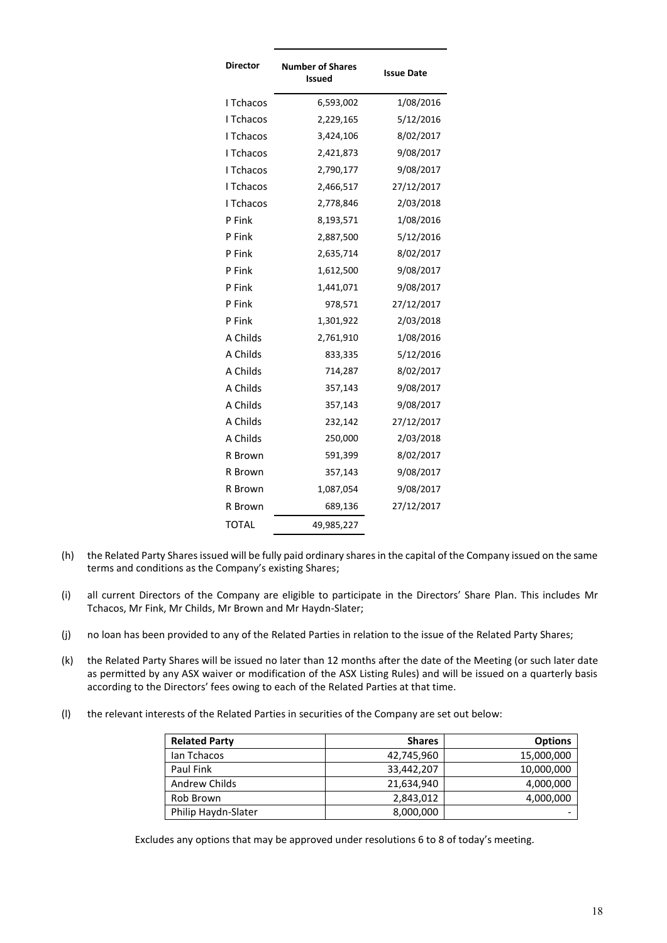| Director  | <b>Number of Shares</b><br>Issued | <b>Issue Date</b> |
|-----------|-----------------------------------|-------------------|
| I Tchacos | 6,593,002                         | 1/08/2016         |
| I Tchacos | 2,229,165                         | 5/12/2016         |
| I Tchacos | 3,424,106                         | 8/02/2017         |
| I Tchacos | 2,421,873                         | 9/08/2017         |
| I Tchacos | 2,790,177                         | 9/08/2017         |
| I Tchacos | 2,466,517                         | 27/12/2017        |
| I Tchacos | 2,778,846                         | 2/03/2018         |
| P Fink    | 8,193,571                         | 1/08/2016         |
| P Fink    | 2,887,500                         | 5/12/2016         |
| P Fink    | 2,635,714                         | 8/02/2017         |
| P Fink    | 1,612,500                         | 9/08/2017         |
| P Fink    | 1,441,071                         | 9/08/2017         |
| P Fink    | 978,571                           | 27/12/2017        |
| P Fink    | 1,301,922                         | 2/03/2018         |
| A Childs  | 2,761,910                         | 1/08/2016         |
| A Childs  | 833,335                           | 5/12/2016         |
| A Childs  | 714,287                           | 8/02/2017         |
| A Childs  | 357,143                           | 9/08/2017         |
| A Childs  | 357,143                           | 9/08/2017         |
| A Childs  | 232,142                           | 27/12/2017        |
| A Childs  | 250,000                           | 2/03/2018         |
| R Brown   | 591,399                           | 8/02/2017         |
| R Brown   | 357,143                           | 9/08/2017         |
| R Brown   | 1,087,054                         | 9/08/2017         |
| R Brown   | 689,136                           | 27/12/2017        |
| TOTAL     | 49,985,227                        |                   |

- (h) the Related Party Shares issued will be fully paid ordinary shares in the capital of the Company issued on the same terms and conditions as the Company's existing Shares;
- (i) all current Directors of the Company are eligible to participate in the Directors' Share Plan. This includes Mr Tchacos, Mr Fink, Mr Childs, Mr Brown and Mr Haydn-Slater;
- (j) no loan has been provided to any of the Related Parties in relation to the issue of the Related Party Shares;
- (k) the Related Party Shares will be issued no later than 12 months after the date of the Meeting (or such later date as permitted by any ASX waiver or modification of the ASX Listing Rules) and will be issued on a quarterly basis according to the Directors' fees owing to each of the Related Parties at that time.
- (l) the relevant interests of the Related Parties in securities of the Company are set out below:

| <b>Related Party</b> | <b>Shares</b> | <b>Options</b> |
|----------------------|---------------|----------------|
| lan Tchacos          | 42,745,960    | 15,000,000     |
| Paul Fink            | 33,442,207    | 10,000,000     |
| Andrew Childs        | 21,634,940    | 4,000,000      |
| Rob Brown            | 2,843,012     | 4,000,000      |
| Philip Haydn-Slater  | 8,000,000     |                |

Excludes any options that may be approved under resolutions 6 to 8 of today's meeting.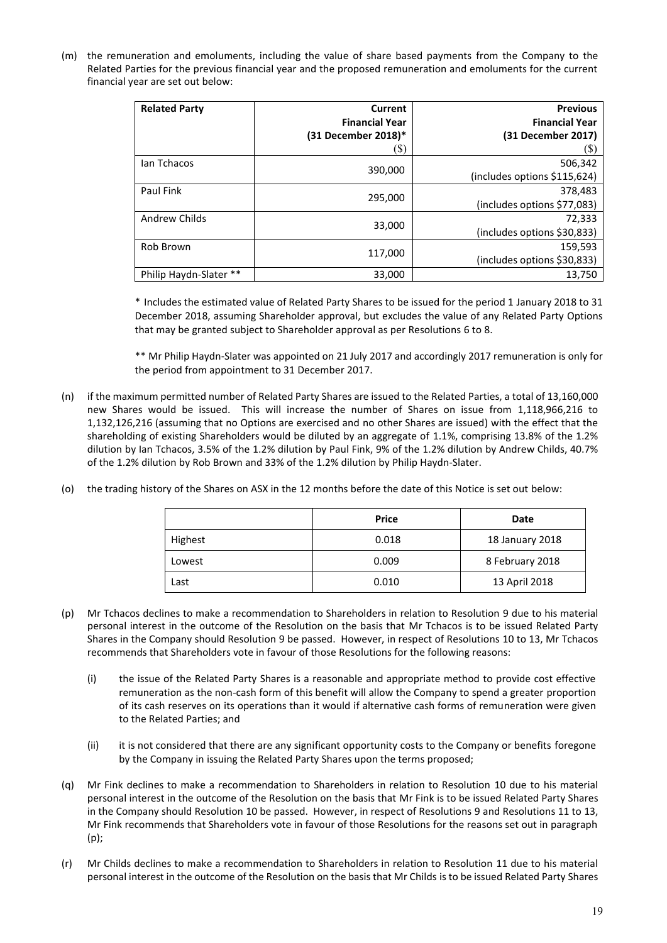(m) the remuneration and emoluments, including the value of share based payments from the Company to the Related Parties for the previous financial year and the proposed remuneration and emoluments for the current financial year are set out below:

| <b>Related Party</b>   | Current<br><b>Financial Year</b><br>(31 December 2018)*<br>(S) | <b>Previous</b><br><b>Financial Year</b><br>(31 December 2017)<br>(\$) |
|------------------------|----------------------------------------------------------------|------------------------------------------------------------------------|
| lan Tchacos            | 390,000                                                        | 506,342<br>(includes options \$115,624)                                |
| Paul Fink              | 295,000                                                        | 378,483<br>(includes options \$77,083)                                 |
| Andrew Childs          | 33,000                                                         | 72,333<br>(includes options \$30,833)                                  |
| Rob Brown              | 117,000                                                        | 159,593<br>(includes options \$30,833)                                 |
| Philip Haydn-Slater ** | 33,000                                                         | 13,750                                                                 |

\* Includes the estimated value of Related Party Shares to be issued for the period 1 January 2018 to 31 December 2018, assuming Shareholder approval, but excludes the value of any Related Party Options that may be granted subject to Shareholder approval as per Resolutions 6 to 8.

\*\* Mr Philip Haydn-Slater was appointed on 21 July 2017 and accordingly 2017 remuneration is only for the period from appointment to 31 December 2017.

- (n) if the maximum permitted number of Related Party Shares are issued to the Related Parties, a total of 13,160,000 new Shares would be issued. This will increase the number of Shares on issue from 1,118,966,216 to 1,132,126,216 (assuming that no Options are exercised and no other Shares are issued) with the effect that the shareholding of existing Shareholders would be diluted by an aggregate of 1.1%, comprising 13.8% of the 1.2% dilution by Ian Tchacos, 3.5% of the 1.2% dilution by Paul Fink, 9% of the 1.2% dilution by Andrew Childs, 40.7% of the 1.2% dilution by Rob Brown and 33% of the 1.2% dilution by Philip Haydn-Slater.
- (o) the trading history of the Shares on ASX in the 12 months before the date of this Notice is set out below:

|         | <b>Price</b><br>Date |                 |  |  |
|---------|----------------------|-----------------|--|--|
| Highest | 0.018                | 18 January 2018 |  |  |
| Lowest  | 0.009                | 8 February 2018 |  |  |
| Last    | 0.010                | 13 April 2018   |  |  |

- (p) Mr Tchacos declines to make a recommendation to Shareholders in relation to Resolution 9 due to his material personal interest in the outcome of the Resolution on the basis that Mr Tchacos is to be issued Related Party Shares in the Company should Resolution 9 be passed. However, in respect of Resolutions 10 to 13, Mr Tchacos recommends that Shareholders vote in favour of those Resolutions for the following reasons:
	- (i) the issue of the Related Party Shares is a reasonable and appropriate method to provide cost effective remuneration as the non-cash form of this benefit will allow the Company to spend a greater proportion of its cash reserves on its operations than it would if alternative cash forms of remuneration were given to the Related Parties; and
	- (ii) it is not considered that there are any significant opportunity costs to the Company or benefits foregone by the Company in issuing the Related Party Shares upon the terms proposed;
- (q) Mr Fink declines to make a recommendation to Shareholders in relation to Resolution 10 due to his material personal interest in the outcome of the Resolution on the basis that Mr Fink is to be issued Related Party Shares in the Company should Resolution 10 be passed. However, in respect of Resolutions 9 and Resolutions 11 to 13, Mr Fink recommends that Shareholders vote in favour of those Resolutions for the reasons set out in paragraph (p);
- (r) Mr Childs declines to make a recommendation to Shareholders in relation to Resolution 11 due to his material personal interest in the outcome of the Resolution on the basis that Mr Childs is to be issued Related Party Shares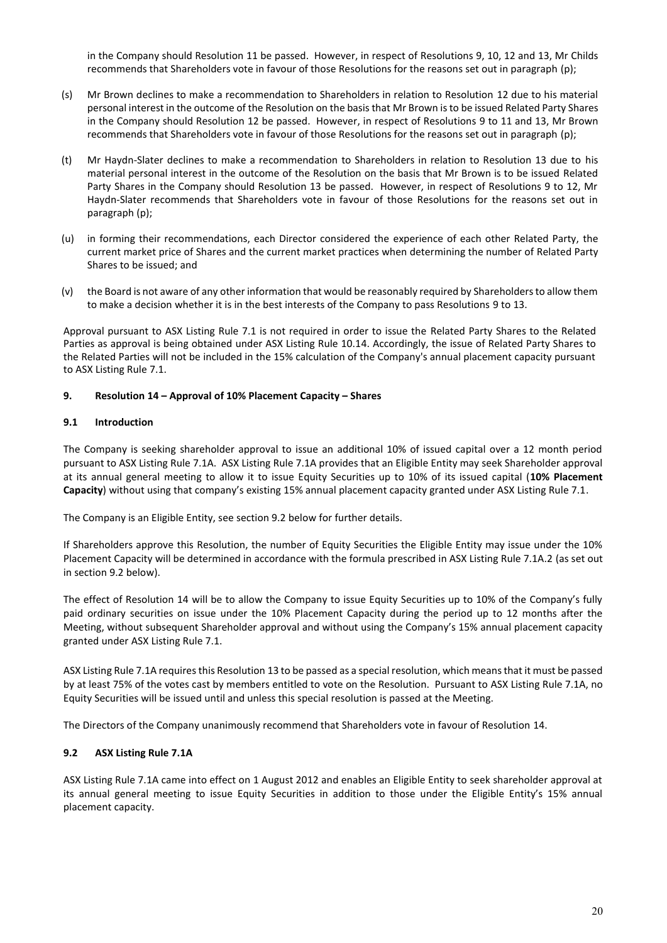in the Company should Resolution 11 be passed. However, in respect of Resolutions 9, 10, 12 and 13, Mr Childs recommends that Shareholders vote in favour of those Resolutions for the reasons set out in paragraph (p);

- (s) Mr Brown declines to make a recommendation to Shareholders in relation to Resolution 12 due to his material personal interest in the outcome of the Resolution on the basis that Mr Brown is to be issued Related Party Shares in the Company should Resolution 12 be passed. However, in respect of Resolutions 9 to 11 and 13, Mr Brown recommends that Shareholders vote in favour of those Resolutions for the reasons set out in paragraph (p);
- (t) Mr Haydn-Slater declines to make a recommendation to Shareholders in relation to Resolution 13 due to his material personal interest in the outcome of the Resolution on the basis that Mr Brown is to be issued Related Party Shares in the Company should Resolution 13 be passed. However, in respect of Resolutions 9 to 12, Mr Haydn-Slater recommends that Shareholders vote in favour of those Resolutions for the reasons set out in paragraph (p);
- (u) in forming their recommendations, each Director considered the experience of each other Related Party, the current market price of Shares and the current market practices when determining the number of Related Party Shares to be issued; and
- (v) the Board is not aware of any other information that would be reasonably required by Shareholders to allow them to make a decision whether it is in the best interests of the Company to pass Resolutions 9 to 13.

Approval pursuant to ASX Listing Rule 7.1 is not required in order to issue the Related Party Shares to the Related Parties as approval is being obtained under ASX Listing Rule 10.14. Accordingly, the issue of Related Party Shares to the Related Parties will not be included in the 15% calculation of the Company's annual placement capacity pursuant to ASX Listing Rule 7.1.

## **9. Resolution 14 – Approval of 10% Placement Capacity – Shares**

## **9.1 Introduction**

The Company is seeking shareholder approval to issue an additional 10% of issued capital over a 12 month period pursuant to ASX Listing Rule 7.1A. ASX Listing Rule 7.1A provides that an Eligible Entity may seek Shareholder approval at its annual general meeting to allow it to issue Equity Securities up to 10% of its issued capital (**10% Placement Capacity**) without using that company's existing 15% annual placement capacity granted under ASX Listing Rule 7.1.

The Company is an Eligible Entity, see section 9.2 below for further details.

If Shareholders approve this Resolution, the number of Equity Securities the Eligible Entity may issue under the 10% Placement Capacity will be determined in accordance with the formula prescribed in ASX Listing Rule 7.1A.2 (as set out in section 9.2 below).

The effect of Resolution 14 will be to allow the Company to issue Equity Securities up to 10% of the Company's fully paid ordinary securities on issue under the 10% Placement Capacity during the period up to 12 months after the Meeting, without subsequent Shareholder approval and without using the Company's 15% annual placement capacity granted under ASX Listing Rule 7.1.

ASX Listing Rule 7.1A requires this Resolution 13 to be passed as a special resolution, which means that it must be passed by at least 75% of the votes cast by members entitled to vote on the Resolution. Pursuant to ASX Listing Rule 7.1A, no Equity Securities will be issued until and unless this special resolution is passed at the Meeting.

The Directors of the Company unanimously recommend that Shareholders vote in favour of Resolution 14.

## **9.2 ASX Listing Rule 7.1A**

ASX Listing Rule 7.1A came into effect on 1 August 2012 and enables an Eligible Entity to seek shareholder approval at its annual general meeting to issue Equity Securities in addition to those under the Eligible Entity's 15% annual placement capacity.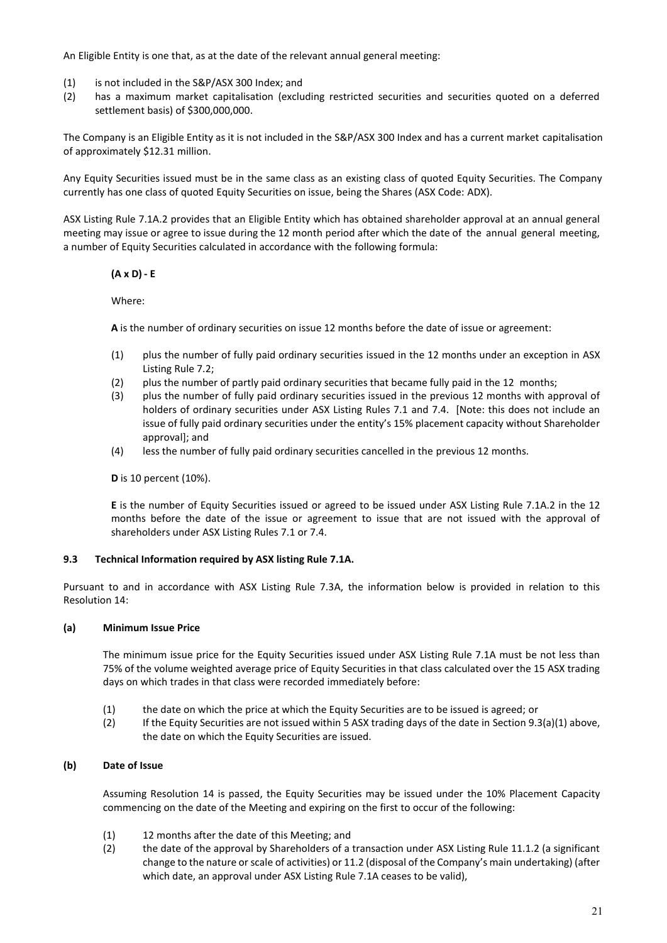An Eligible Entity is one that, as at the date of the relevant annual general meeting:

- (1) is not included in the S&P/ASX 300 Index; and
- (2) has a maximum market capitalisation (excluding restricted securities and securities quoted on a deferred settlement basis) of \$300,000,000.

The Company is an Eligible Entity as it is not included in the S&P/ASX 300 Index and has a current market capitalisation of approximately \$12.31 million.

Any Equity Securities issued must be in the same class as an existing class of quoted Equity Securities. The Company currently has one class of quoted Equity Securities on issue, being the Shares (ASX Code: ADX).

ASX Listing Rule 7.1A.2 provides that an Eligible Entity which has obtained shareholder approval at an annual general meeting may issue or agree to issue during the 12 month period after which the date of the annual general meeting, a number of Equity Securities calculated in accordance with the following formula:

## **(A x D) - E**

Where:

 **A** is the number of ordinary securities on issue 12 months before the date of issue or agreement:

- (1) plus the number of fully paid ordinary securities issued in the 12 months under an exception in ASX Listing Rule 7.2;
- (2) plus the number of partly paid ordinary securities that became fully paid in the 12 months;
- (3) plus the number of fully paid ordinary securities issued in the previous 12 months with approval of holders of ordinary securities under ASX Listing Rules 7.1 and 7.4. [Note: this does not include an issue of fully paid ordinary securities under the entity's 15% placement capacity without Shareholder approval]; and
- (4) less the number of fully paid ordinary securities cancelled in the previous 12 months.

**D** is 10 percent (10%).

**E** is the number of Equity Securities issued or agreed to be issued under ASX Listing Rule 7.1A.2 in the 12 months before the date of the issue or agreement to issue that are not issued with the approval of shareholders under ASX Listing Rules 7.1 or 7.4.

## **9.3 Technical Information required by ASX listing Rule 7.1A.**

Pursuant to and in accordance with ASX Listing Rule 7.3A, the information below is provided in relation to this Resolution 14:

## **(a) Minimum Issue Price**

The minimum issue price for the Equity Securities issued under ASX Listing Rule 7.1A must be not less than 75% of the volume weighted average price of Equity Securities in that class calculated over the 15 ASX trading days on which trades in that class were recorded immediately before:

- (1) the date on which the price at which the Equity Securities are to be issued is agreed; or
- (2) If the Equity Securities are not issued within 5 ASX trading days of the date in Section 9.3(a)(1) above, the date on which the Equity Securities are issued.

## **(b) Date of Issue**

Assuming Resolution 14 is passed, the Equity Securities may be issued under the 10% Placement Capacity commencing on the date of the Meeting and expiring on the first to occur of the following:

- (1) 12 months after the date of this Meeting; and
- (2) the date of the approval by Shareholders of a transaction under ASX Listing Rule 11.1.2 (a significant change to the nature or scale of activities) or 11.2 (disposal of the Company's main undertaking) (after which date, an approval under ASX Listing Rule 7.1A ceases to be valid),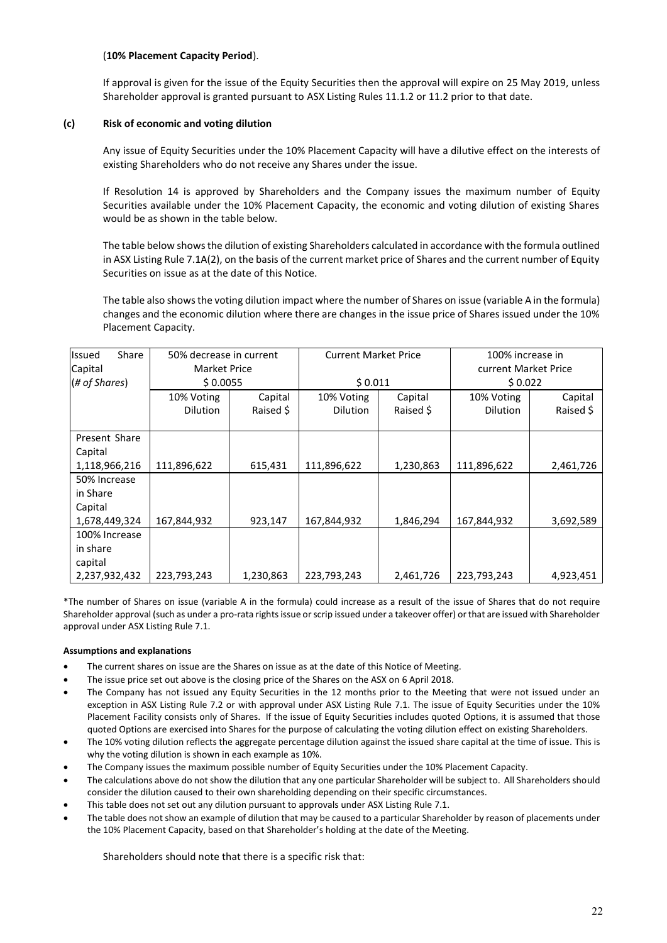## (**10% Placement Capacity Period**).

If approval is given for the issue of the Equity Securities then the approval will expire on 25 May 2019, unless Shareholder approval is granted pursuant to ASX Listing Rules 11.1.2 or 11.2 prior to that date.

## **(c) Risk of economic and voting dilution**

Any issue of Equity Securities under the 10% Placement Capacity will have a dilutive effect on the interests of existing Shareholders who do not receive any Shares under the issue.

If Resolution 14 is approved by Shareholders and the Company issues the maximum number of Equity Securities available under the 10% Placement Capacity, the economic and voting dilution of existing Shares would be as shown in the table below.

The table below shows the dilution of existing Shareholders calculated in accordance with the formula outlined in ASX Listing Rule 7.1A(2), on the basis of the current market price of Shares and the current number of Equity Securities on issue as at the date of this Notice.

The table also shows the voting dilution impact where the number of Shares on issue (variable A in the formula) changes and the economic dilution where there are changes in the issue price of Shares issued under the 10% Placement Capacity.

| Share<br><b>Issued</b> | 50% decrease in current  |           | <b>Current Market Price</b> |                          | 100% increase in     |           |  |
|------------------------|--------------------------|-----------|-----------------------------|--------------------------|----------------------|-----------|--|
| Capital                | <b>Market Price</b>      |           |                             |                          | current Market Price |           |  |
| (# of Shares)          | \$0.0055                 |           | \$0.011                     |                          | \$0.022              |           |  |
|                        | 10% Voting               | Capital   | 10% Voting                  | Capital                  | 10% Voting           | Capital   |  |
|                        | <b>Dilution</b>          | Raised \$ | <b>Dilution</b>             | Raised \$                | <b>Dilution</b>      | Raised \$ |  |
|                        |                          |           |                             |                          |                      |           |  |
| Present Share          |                          |           |                             |                          |                      |           |  |
| Capital                |                          |           |                             |                          |                      |           |  |
| 1,118,966,216          | 111,896,622<br>615,431   |           | 111,896,622                 | 1,230,863                |                      | 2,461,726 |  |
| 50% Increase           |                          |           |                             |                          |                      |           |  |
| in Share               |                          |           |                             |                          |                      |           |  |
| Capital                |                          |           |                             |                          |                      |           |  |
| 1,678,449,324          | 167,844,932              | 923,147   |                             | 167,844,932<br>1,846,294 |                      | 3,692,589 |  |
| 100% Increase          |                          |           |                             |                          |                      |           |  |
| in share               |                          |           |                             |                          |                      |           |  |
| capital                |                          |           |                             |                          |                      |           |  |
| 2,237,932,432          | 223,793,243<br>1,230,863 |           | 223,793,243                 | 2,461,726                | 223,793,243          | 4,923,451 |  |

\*The number of Shares on issue (variable A in the formula) could increase as a result of the issue of Shares that do not require Shareholder approval (such as under a pro-rata rights issue or scrip issued under a takeover offer) or that are issued with Shareholder approval under ASX Listing Rule 7.1.

## **Assumptions and explanations**

- The current shares on issue are the Shares on issue as at the date of this Notice of Meeting.
- The issue price set out above is the closing price of the Shares on the ASX on 6 April 2018.
- The Company has not issued any Equity Securities in the 12 months prior to the Meeting that were not issued under an exception in ASX Listing Rule 7.2 or with approval under ASX Listing Rule 7.1. The issue of Equity Securities under the 10% Placement Facility consists only of Shares. If the issue of Equity Securities includes quoted Options, it is assumed that those quoted Options are exercised into Shares for the purpose of calculating the voting dilution effect on existing Shareholders.
- The 10% voting dilution reflects the aggregate percentage dilution against the issued share capital at the time of issue. This is why the voting dilution is shown in each example as 10%.
- The Company issues the maximum possible number of Equity Securities under the 10% Placement Capacity.
- The calculations above do not show the dilution that any one particular Shareholder will be subject to. All Shareholders should consider the dilution caused to their own shareholding depending on their specific circumstances.
- This table does not set out any dilution pursuant to approvals under ASX Listing Rule 7.1.
- The table does not show an example of dilution that may be caused to a particular Shareholder by reason of placements under the 10% Placement Capacity, based on that Shareholder's holding at the date of the Meeting.

Shareholders should note that there is a specific risk that: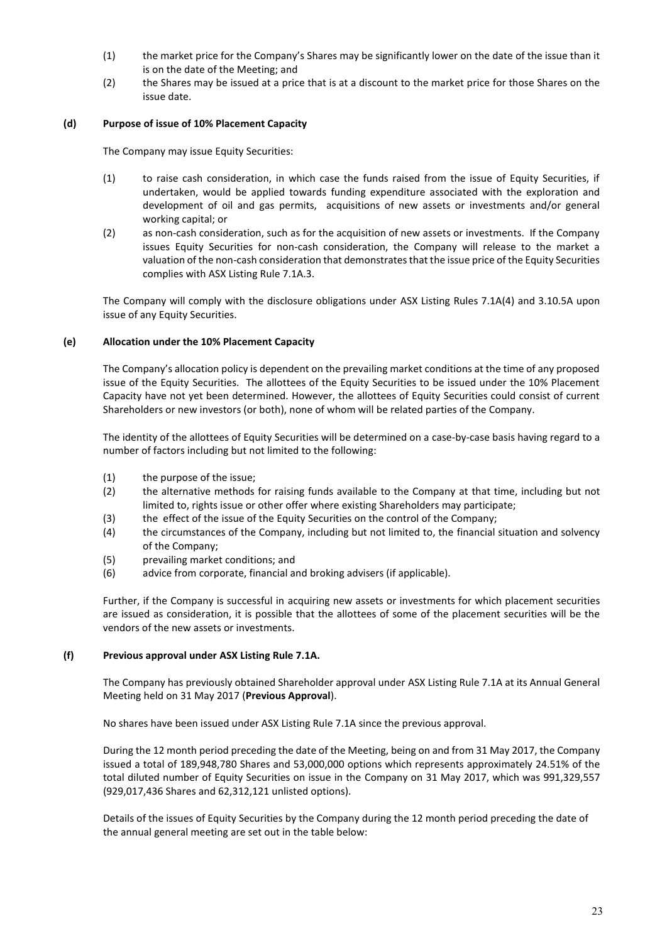- (1) the market price for the Company's Shares may be significantly lower on the date of the issue than it is on the date of the Meeting; and
- (2) the Shares may be issued at a price that is at a discount to the market price for those Shares on the issue date.

## **(d) Purpose of issue of 10% Placement Capacity**

The Company may issue Equity Securities:

- (1) to raise cash consideration, in which case the funds raised from the issue of Equity Securities, if undertaken, would be applied towards funding expenditure associated with the exploration and development of oil and gas permits, acquisitions of new assets or investments and/or general working capital; or
- (2) as non-cash consideration, such as for the acquisition of new assets or investments. If the Company issues Equity Securities for non-cash consideration, the Company will release to the market a valuation of the non-cash consideration that demonstrates that the issue price of the Equity Securities complies with ASX Listing Rule 7.1A.3.

The Company will comply with the disclosure obligations under ASX Listing Rules 7.1A(4) and 3.10.5A upon issue of any Equity Securities.

## **(e) Allocation under the 10% Placement Capacity**

The Company's allocation policy is dependent on the prevailing market conditions at the time of any proposed issue of the Equity Securities. The allottees of the Equity Securities to be issued under the 10% Placement Capacity have not yet been determined. However, the allottees of Equity Securities could consist of current Shareholders or new investors (or both), none of whom will be related parties of the Company.

The identity of the allottees of Equity Securities will be determined on a case-by-case basis having regard to a number of factors including but not limited to the following:

- (1) the purpose of the issue;
- (2) the alternative methods for raising funds available to the Company at that time, including but not limited to, rights issue or other offer where existing Shareholders may participate;
- (3) the effect of the issue of the Equity Securities on the control of the Company;
- (4) the circumstances of the Company, including but not limited to, the financial situation and solvency of the Company;
- (5) prevailing market conditions; and
- (6) advice from corporate, financial and broking advisers (if applicable).

Further, if the Company is successful in acquiring new assets or investments for which placement securities are issued as consideration, it is possible that the allottees of some of the placement securities will be the vendors of the new assets or investments.

## **(f) Previous approval under ASX Listing Rule 7.1A.**

The Company has previously obtained Shareholder approval under ASX Listing Rule 7.1A at its Annual General Meeting held on 31 May 2017 (**Previous Approval**).

No shares have been issued under ASX Listing Rule 7.1A since the previous approval.

During the 12 month period preceding the date of the Meeting, being on and from 31 May 2017, the Company issued a total of 189,948,780 Shares and 53,000,000 options which represents approximately 24.51% of the total diluted number of Equity Securities on issue in the Company on 31 May 2017, which was 991,329,557 (929,017,436 Shares and 62,312,121 unlisted options).

Details of the issues of Equity Securities by the Company during the 12 month period preceding the date of the annual general meeting are set out in the table below: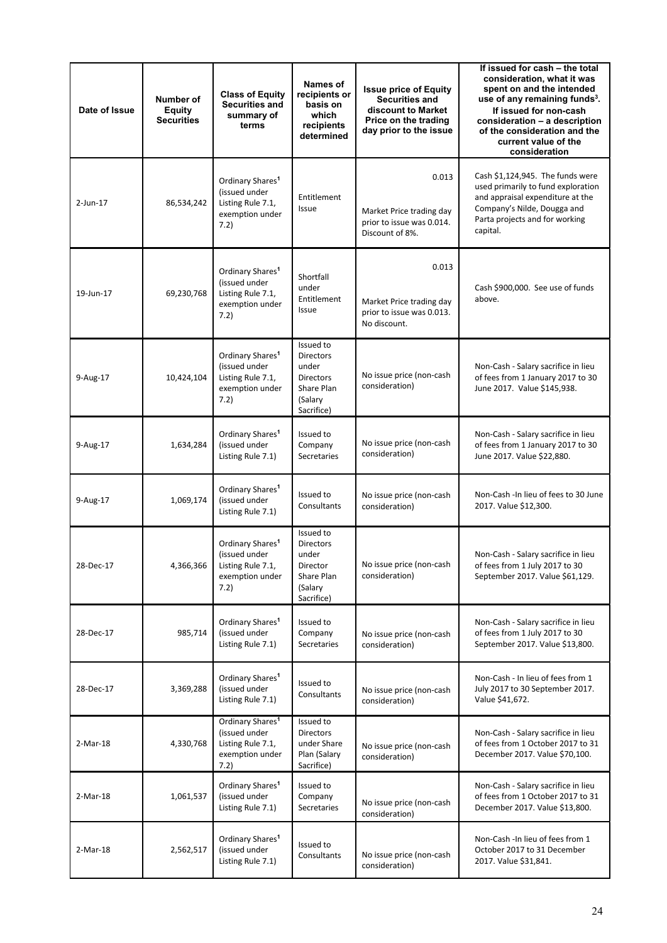| Date of Issue | Number of<br>Equity<br><b>Securities</b> | <b>Class of Equity</b><br>Securities and<br>summary of<br>terms                               | Names of<br>recipients or<br>basis on<br>which<br>recipients<br>determined                        | <b>Issue price of Equity</b><br><b>Securities and</b><br>discount to Market<br>Price on the trading<br>day prior to the issue | If issued for cash - the total<br>consideration, what it was<br>spent on and the intended<br>use of any remaining funds <sup>3</sup> .<br>If issued for non-cash<br>consideration - a description<br>of the consideration and the<br>current value of the<br>consideration |  |  |  |
|---------------|------------------------------------------|-----------------------------------------------------------------------------------------------|---------------------------------------------------------------------------------------------------|-------------------------------------------------------------------------------------------------------------------------------|----------------------------------------------------------------------------------------------------------------------------------------------------------------------------------------------------------------------------------------------------------------------------|--|--|--|
| 2-Jun-17      | 86,534,242                               | Ordinary Shares <sup>1</sup><br>(issued under<br>Listing Rule 7.1,<br>exemption under<br>7.2) | Entitlement<br>Issue                                                                              | 0.013<br>Market Price trading day<br>prior to issue was 0.014.<br>Discount of 8%.                                             | Cash \$1,124,945. The funds were<br>used primarily to fund exploration<br>and appraisal expenditure at the<br>Company's Nilde, Dougga and<br>Parta projects and for working<br>capital.                                                                                    |  |  |  |
| 19-Jun-17     | 69,230,768                               | Ordinary Shares <sup>1</sup><br>(issued under<br>Listing Rule 7.1,<br>exemption under<br>7.2) | Shortfall<br>under<br>Entitlement<br>Issue                                                        | 0.013<br>Market Price trading day<br>prior to issue was 0.013.<br>No discount.                                                | Cash \$900,000. See use of funds<br>above.                                                                                                                                                                                                                                 |  |  |  |
| 9-Aug-17      | 10,424,104                               | Ordinary Shares <sup>1</sup><br>(issued under<br>Listing Rule 7.1,<br>exemption under<br>7.2) | Issued to<br><b>Directors</b><br>under<br><b>Directors</b><br>Share Plan<br>(Salary<br>Sacrifice) | No issue price (non-cash<br>consideration)                                                                                    | Non-Cash - Salary sacrifice in lieu<br>of fees from 1 January 2017 to 30<br>June 2017. Value \$145,938.                                                                                                                                                                    |  |  |  |
| 9-Aug-17      | 1,634,284                                | Ordinary Shares <sup>1</sup><br>(issued under<br>Listing Rule 7.1)                            | Issued to<br>Company<br>Secretaries                                                               | No issue price (non-cash<br>consideration)                                                                                    | Non-Cash - Salary sacrifice in lieu<br>of fees from 1 January 2017 to 30<br>June 2017. Value \$22,880.                                                                                                                                                                     |  |  |  |
| 9-Aug-17      | 1,069,174                                | Ordinary Shares <sup>1</sup><br>(issued under<br>Listing Rule 7.1)                            | Issued to<br>Consultants                                                                          | No issue price (non-cash<br>consideration)                                                                                    | Non-Cash - In lieu of fees to 30 June<br>2017. Value \$12,300.                                                                                                                                                                                                             |  |  |  |
| 28-Dec-17     | 4,366,366                                | Ordinary Shares <sup>1</sup><br>(issued under<br>Listing Rule 7.1,<br>exemption under<br>7.2) | Issued to<br><b>Directors</b><br>under<br>Director<br>Share Plan<br>(Salary<br>Sacrifice)         | No issue price (non-cash<br>consideration)                                                                                    | Non-Cash - Salary sacrifice in lieu<br>of fees from 1 July 2017 to 30<br>September 2017. Value \$61,129.                                                                                                                                                                   |  |  |  |
| 28-Dec-17     | 985,714                                  | Ordinary Shares <sup>1</sup><br>(issued under<br>Listing Rule 7.1)                            | Issued to<br>Company<br>Secretaries                                                               | No issue price (non-cash<br>consideration)                                                                                    | Non-Cash - Salary sacrifice in lieu<br>of fees from 1 July 2017 to 30<br>September 2017. Value \$13,800.                                                                                                                                                                   |  |  |  |
| 28-Dec-17     | 3,369,288                                | Ordinary Shares <sup>1</sup><br>(issued under<br>Listing Rule 7.1)                            | Issued to<br>Consultants                                                                          | No issue price (non-cash<br>consideration)                                                                                    | Non-Cash - In lieu of fees from 1<br>July 2017 to 30 September 2017.<br>Value \$41,672.                                                                                                                                                                                    |  |  |  |
| 2-Mar-18      | 4,330,768                                | Ordinary Shares <sup>1</sup><br>(issued under<br>Listing Rule 7.1,<br>exemption under<br>7.2) | Issued to<br><b>Directors</b><br>under Share<br>Plan (Salary<br>Sacrifice)                        | No issue price (non-cash<br>consideration)                                                                                    | Non-Cash - Salary sacrifice in lieu<br>of fees from 1 October 2017 to 31<br>December 2017. Value \$70,100.                                                                                                                                                                 |  |  |  |
| 2-Mar-18      | 1,061,537                                | Ordinary Shares <sup>1</sup><br>(issued under<br>Listing Rule 7.1)                            | Issued to<br>Company<br>Secretaries                                                               | No issue price (non-cash<br>consideration)                                                                                    | Non-Cash - Salary sacrifice in lieu<br>of fees from 1 October 2017 to 31<br>December 2017. Value \$13,800.                                                                                                                                                                 |  |  |  |
| 2-Mar-18      | 2,562,517                                | Ordinary Shares <sup>1</sup><br>(issued under<br>Listing Rule 7.1)                            | Issued to<br>Consultants                                                                          | No issue price (non-cash<br>consideration)                                                                                    | Non-Cash -In lieu of fees from 1<br>October 2017 to 31 December<br>2017. Value \$31,841.                                                                                                                                                                                   |  |  |  |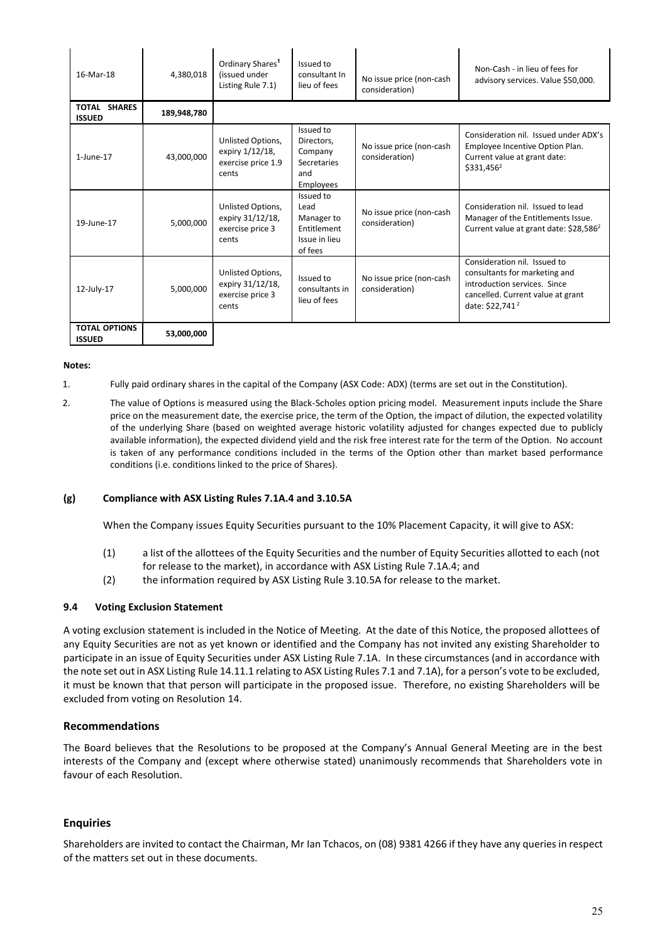| 16-Mar-18                             | 4,380,018   | Ordinary Shares <sup>1</sup><br>(issued under<br>Listing Rule 7.1)  | Issued to<br>consultant In<br>lieu of fees                                   | No issue price (non-cash<br>consideration) | Non-Cash - in lieu of fees for<br>advisory services. Value \$50,000.                                                                                              |  |  |
|---------------------------------------|-------------|---------------------------------------------------------------------|------------------------------------------------------------------------------|--------------------------------------------|-------------------------------------------------------------------------------------------------------------------------------------------------------------------|--|--|
| TOTAL SHARES<br><b>ISSUED</b>         | 189,948,780 |                                                                     |                                                                              |                                            |                                                                                                                                                                   |  |  |
| $1$ -June- $17$                       | 43,000,000  | Unlisted Options,<br>expiry 1/12/18,<br>exercise price 1.9<br>cents | Issued to<br>Directors,<br>Company<br><b>Secretaries</b><br>and<br>Employees | No issue price (non-cash<br>consideration) | Consideration nil. Issued under ADX's<br>Employee Incentive Option Plan.<br>Current value at grant date:<br>\$331,456 <sup>2</sup>                                |  |  |
| 19-June-17                            | 5,000,000   | Unlisted Options,<br>expiry 31/12/18,<br>exercise price 3<br>cents  | Issued to<br>Lead<br>Manager to<br>Entitlement<br>Issue in lieu<br>of fees   | No issue price (non-cash<br>consideration) | Consideration nil. Issued to lead<br>Manager of the Entitlements Issue.<br>Current value at grant date: \$28,586 <sup>2</sup>                                     |  |  |
| 12-July-17                            | 5,000,000   | Unlisted Options,<br>expiry 31/12/18,<br>exercise price 3<br>cents  | Issued to<br>consultants in<br>lieu of fees                                  | No issue price (non-cash<br>consideration) | Consideration nil. Issued to<br>consultants for marketing and<br>introduction services. Since<br>cancelled. Current value at grant<br>date: \$22,741 <sup>2</sup> |  |  |
| <b>TOTAL OPTIONS</b><br><b>ISSUED</b> | 53.000.000  |                                                                     |                                                                              |                                            |                                                                                                                                                                   |  |  |

#### **Notes:**

1. Fully paid ordinary shares in the capital of the Company (ASX Code: ADX) (terms are set out in the Constitution).

2. The value of Options is measured using the Black-Scholes option pricing model. Measurement inputs include the Share price on the measurement date, the exercise price, the term of the Option, the impact of dilution, the expected volatility of the underlying Share (based on weighted average historic volatility adjusted for changes expected due to publicly available information), the expected dividend yield and the risk free interest rate for the term of the Option. No account is taken of any performance conditions included in the terms of the Option other than market based performance conditions (i.e. conditions linked to the price of Shares).

#### **(g) Compliance with ASX Listing Rules 7.1A.4 and 3.10.5A**

When the Company issues Equity Securities pursuant to the 10% Placement Capacity, it will give to ASX:

- (1) a list of the allottees of the Equity Securities and the number of Equity Securities allotted to each (not for release to the market), in accordance with ASX Listing Rule 7.1A.4; and
- (2) the information required by ASX Listing Rule 3.10.5A for release to the market.

### **9.4 Voting Exclusion Statement**

A voting exclusion statement is included in the Notice of Meeting. At the date of this Notice, the proposed allottees of any Equity Securities are not as yet known or identified and the Company has not invited any existing Shareholder to participate in an issue of Equity Securities under ASX Listing Rule 7.1A. In these circumstances (and in accordance with the note set out in ASX Listing Rule 14.11.1 relating to ASX Listing Rules 7.1 and 7.1A), for a person's vote to be excluded, it must be known that that person will participate in the proposed issue. Therefore, no existing Shareholders will be excluded from voting on Resolution 14.

#### **Recommendations**

The Board believes that the Resolutions to be proposed at the Company's Annual General Meeting are in the best interests of the Company and (except where otherwise stated) unanimously recommends that Shareholders vote in favour of each Resolution.

#### **Enquiries**

Shareholders are invited to contact the Chairman, Mr Ian Tchacos, on (08) 9381 4266 if they have any queries in respect of the matters set out in these documents.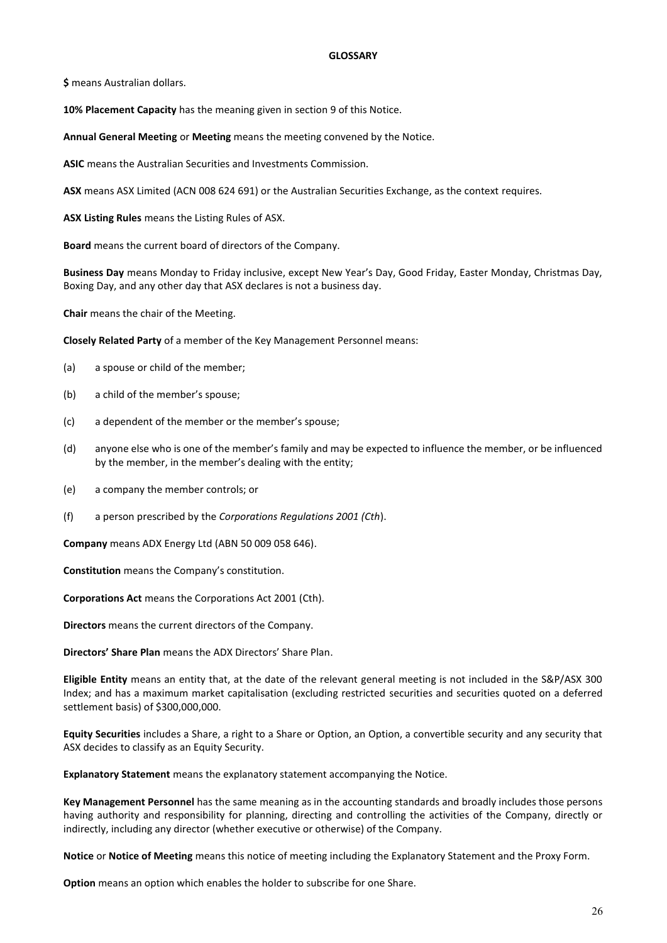#### **GLOSSARY**

**\$** means Australian dollars.

**10% Placement Capacity** has the meaning given in section 9 of this Notice.

**Annual General Meeting** or **Meeting** means the meeting convened by the Notice.

**ASIC** means the Australian Securities and Investments Commission.

**ASX** means ASX Limited (ACN 008 624 691) or the Australian Securities Exchange, as the context requires.

**ASX Listing Rules** means the Listing Rules of ASX.

**Board** means the current board of directors of the Company.

**Business Day** means Monday to Friday inclusive, except New Year's Day, Good Friday, Easter Monday, Christmas Day, Boxing Day, and any other day that ASX declares is not a business day.

**Chair** means the chair of the Meeting.

**Closely Related Party** of a member of the Key Management Personnel means:

- (a) a spouse or child of the member;
- (b) a child of the member's spouse;
- (c) a dependent of the member or the member's spouse;
- (d) anyone else who is one of the member's family and may be expected to influence the member, or be influenced by the member, in the member's dealing with the entity;
- (e) a company the member controls; or
- (f) a person prescribed by the *Corporations Regulations 2001 (Cth*).

**Company** means ADX Energy Ltd (ABN 50 009 058 646).

**Constitution** means the Company's constitution.

**Corporations Act** means the Corporations Act 2001 (Cth).

**Directors** means the current directors of the Company.

**Directors' Share Plan** means the ADX Directors' Share Plan.

**Eligible Entity** means an entity that, at the date of the relevant general meeting is not included in the S&P/ASX 300 Index; and has a maximum market capitalisation (excluding restricted securities and securities quoted on a deferred settlement basis) of \$300,000,000.

**Equity Securities** includes a Share, a right to a Share or Option, an Option, a convertible security and any security that ASX decides to classify as an Equity Security.

**Explanatory Statement** means the explanatory statement accompanying the Notice.

**Key Management Personnel** has the same meaning as in the accounting standards and broadly includes those persons having authority and responsibility for planning, directing and controlling the activities of the Company, directly or indirectly, including any director (whether executive or otherwise) of the Company.

**Notice** or **Notice of Meeting** means this notice of meeting including the Explanatory Statement and the Proxy Form.

**Option** means an option which enables the holder to subscribe for one Share.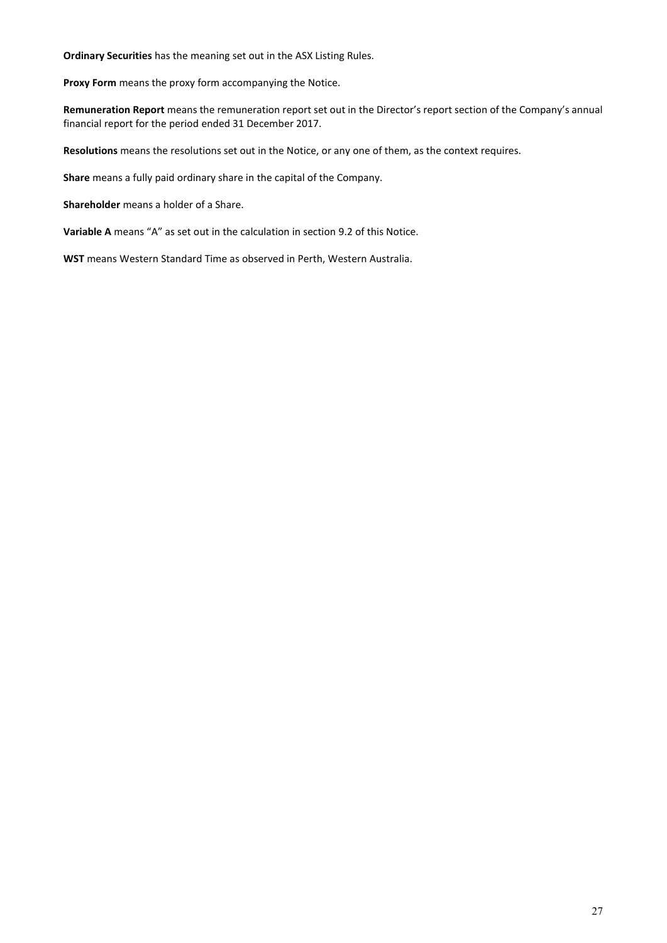**Ordinary Securities** has the meaning set out in the ASX Listing Rules.

**Proxy Form** means the proxy form accompanying the Notice.

**Remuneration Report** means the remuneration report set out in the Director's report section of the Company's annual financial report for the period ended 31 December 2017.

**Resolutions** means the resolutions set out in the Notice, or any one of them, as the context requires.

**Share** means a fully paid ordinary share in the capital of the Company.

**Shareholder** means a holder of a Share.

**Variable A** means "A" as set out in the calculation in section 9.2 of this Notice.

**WST** means Western Standard Time as observed in Perth, Western Australia.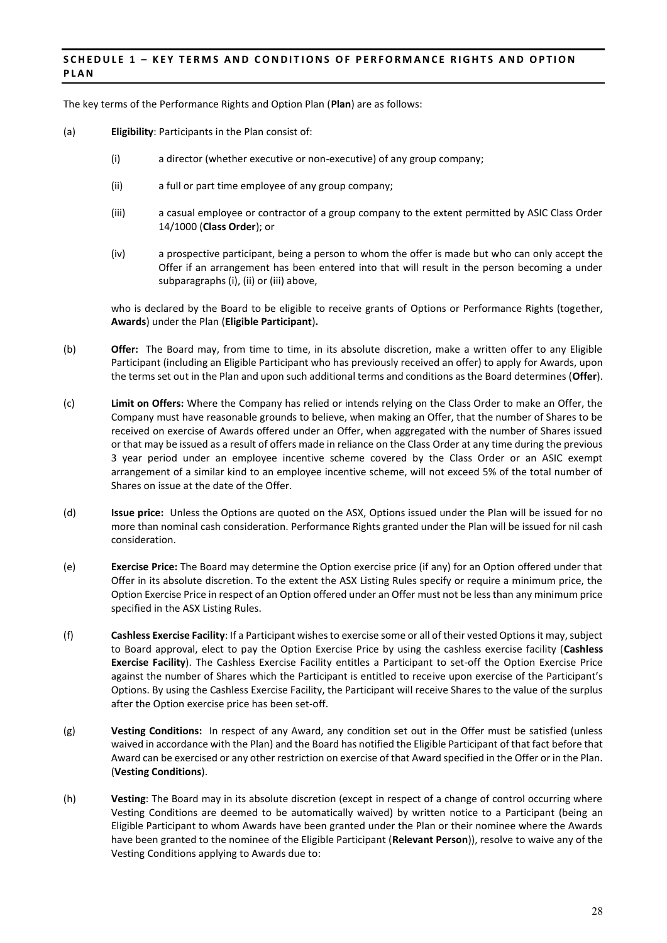## **SCHEDULE 1 – KEY TERMS AND CONDITIONS OF PERFORMANCE RIGHTS AND OPTION PLAN**

The key terms of the Performance Rights and Option Plan (**Plan**) are as follows:

- (a) **Eligibility**: Participants in the Plan consist of:
	- (i) a director (whether executive or non-executive) of any group company;
	- (ii) a full or part time employee of any group company;
	- (iii) a casual employee or contractor of a group company to the extent permitted by ASIC Class Order 14/1000 (**Class Order**); or
	- (iv) a prospective participant, being a person to whom the offer is made but who can only accept the Offer if an arrangement has been entered into that will result in the person becoming a under subparagraphs (i), (ii) or (iii) above,

who is declared by the Board to be eligible to receive grants of Options or Performance Rights (together, **Awards**) under the Plan (**Eligible Participant**)**.** 

- (b) **Offer:** The Board may, from time to time, in its absolute discretion, make a written offer to any Eligible Participant (including an Eligible Participant who has previously received an offer) to apply for Awards, upon the terms set out in the Plan and upon such additional terms and conditions as the Board determines (**Offer**).
- (c) **Limit on Offers:** Where the Company has relied or intends relying on the Class Order to make an Offer, the Company must have reasonable grounds to believe, when making an Offer, that the number of Shares to be received on exercise of Awards offered under an Offer, when aggregated with the number of Shares issued or that may be issued as a result of offers made in reliance on the Class Order at any time during the previous 3 year period under an employee incentive scheme covered by the Class Order or an ASIC exempt arrangement of a similar kind to an employee incentive scheme, will not exceed 5% of the total number of Shares on issue at the date of the Offer.
- (d) **Issue price:** Unless the Options are quoted on the ASX, Options issued under the Plan will be issued for no more than nominal cash consideration. Performance Rights granted under the Plan will be issued for nil cash consideration.
- (e) **Exercise Price:** The Board may determine the Option exercise price (if any) for an Option offered under that Offer in its absolute discretion. To the extent the ASX Listing Rules specify or require a minimum price, the Option Exercise Price in respect of an Option offered under an Offer must not be less than any minimum price specified in the ASX Listing Rules.
- (f) **Cashless Exercise Facility**: If a Participant wishes to exercise some or all of their vested Options it may, subject to Board approval, elect to pay the Option Exercise Price by using the cashless exercise facility (**Cashless Exercise Facility**). The Cashless Exercise Facility entitles a Participant to set-off the Option Exercise Price against the number of Shares which the Participant is entitled to receive upon exercise of the Participant's Options. By using the Cashless Exercise Facility, the Participant will receive Shares to the value of the surplus after the Option exercise price has been set-off.
- (g) **Vesting Conditions:** In respect of any Award, any condition set out in the Offer must be satisfied (unless waived in accordance with the Plan) and the Board has notified the Eligible Participant of that fact before that Award can be exercised or any other restriction on exercise of that Award specified in the Offer or in the Plan. (**Vesting Conditions**).
- (h) **Vesting**: The Board may in its absolute discretion (except in respect of a change of control occurring where Vesting Conditions are deemed to be automatically waived) by written notice to a Participant (being an Eligible Participant to whom Awards have been granted under the Plan or their nominee where the Awards have been granted to the nominee of the Eligible Participant (**Relevant Person**)), resolve to waive any of the Vesting Conditions applying to Awards due to: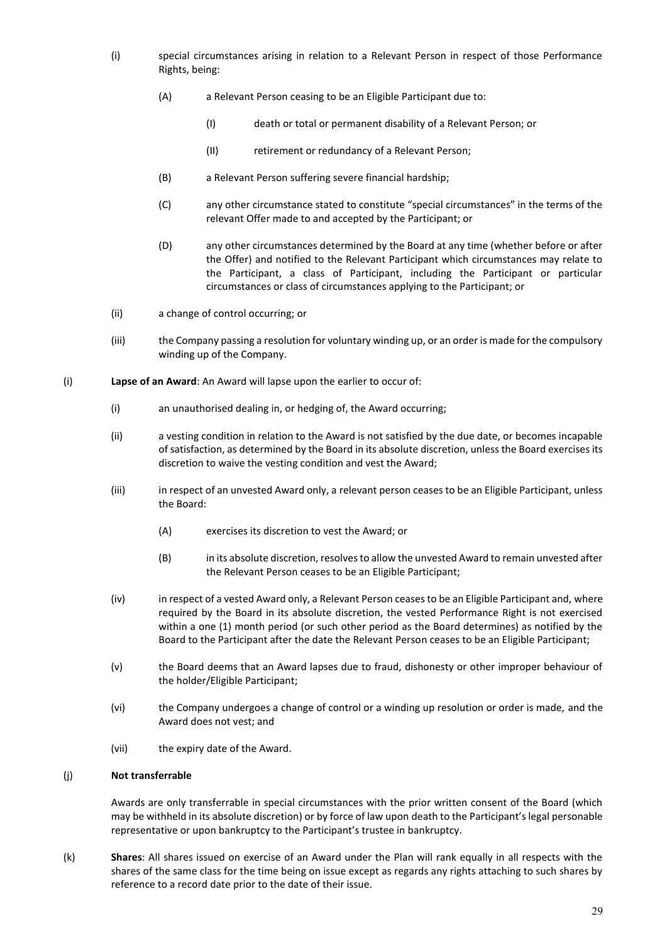- (i) special circumstances arising in relation to a Relevant Person in respect of those Performance Rights, being:
	- (A) a Relevant Person ceasing to be an Eligible Participant due to:
		- (I) death or total or permanent disability of a Relevant Person; or
		- (II) retirement or redundancy of a Relevant Person;
	- (B) a Relevant Person suffering severe financial hardship;
	- (C) any other circumstance stated to constitute "special circumstances" in the terms of the relevant Offer made to and accepted by the Participant; or
	- (D) any other circumstances determined by the Board at any time (whether before or after the Offer) and notified to the Relevant Participant which circumstances may relate to the Participant, a class of Participant, including the Participant or particular circumstances or class of circumstances applying to the Participant; or
- (ii) a change of control occurring; or
- (iii) the Company passing a resolution for voluntary winding up, or an order is made for the compulsory winding up of the Company.
- (i) **Lapse of an Award**: An Award will lapse upon the earlier to occur of:
	- (i) an unauthorised dealing in, or hedging of, the Award occurring;
	- (ii) a vesting condition in relation to the Award is not satisfied by the due date, or becomes incapable of satisfaction, as determined by the Board in its absolute discretion, unless the Board exercises its discretion to waive the vesting condition and vest the Award;
	- (iii) in respect of an unvested Award only, a relevant person ceases to be an Eligible Participant, unless the Board:
		- (A) exercises its discretion to vest the Award; or
		- (B) in its absolute discretion, resolves to allow the unvested Award to remain unvested after the Relevant Person ceases to be an Eligible Participant;
	- (iv) in respect of a vested Award only, a Relevant Person ceases to be an Eligible Participant and, where required by the Board in its absolute discretion, the vested Performance Right is not exercised within a one (1) month period (or such other period as the Board determines) as notified by the Board to the Participant after the date the Relevant Person ceases to be an Eligible Participant;
	- (v) the Board deems that an Award lapses due to fraud, dishonesty or other improper behaviour of the holder/Eligible Participant;
	- (vi) the Company undergoes a change of control or a winding up resolution or order is made, and the Award does not vest; and
	- (vii) the expiry date of the Award.

## (j) **Not transferrable**

Awards are only transferrable in special circumstances with the prior written consent of the Board (which may be withheld in its absolute discretion) or by force of law upon death to the Participant's legal personable representative or upon bankruptcy to the Participant's trustee in bankruptcy.

(k) **Shares**: All shares issued on exercise of an Award under the Plan will rank equally in all respects with the shares of the same class for the time being on issue except as regards any rights attaching to such shares by reference to a record date prior to the date of their issue.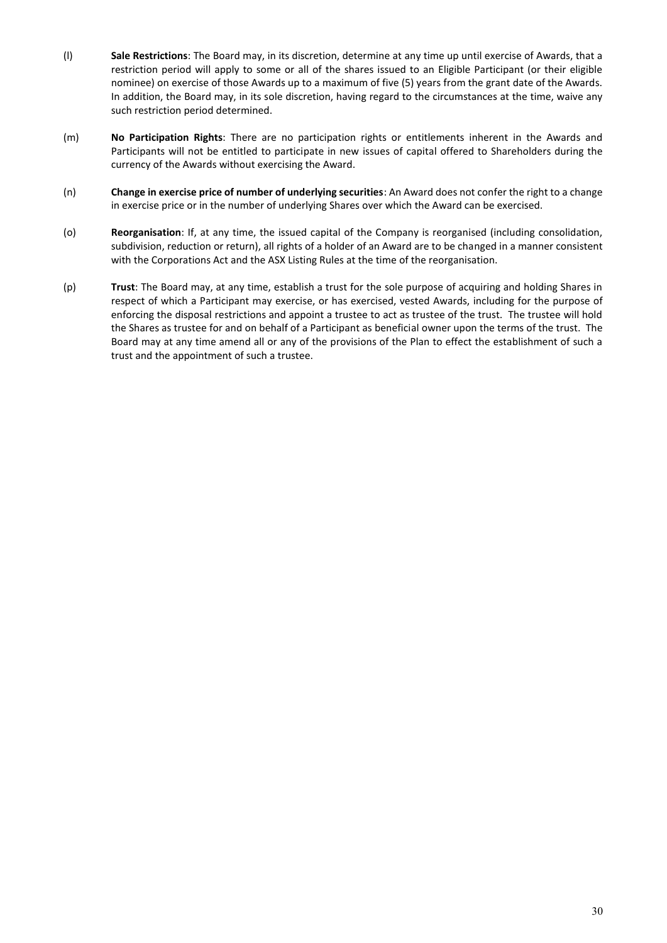- (l) **Sale Restrictions**: The Board may, in its discretion, determine at any time up until exercise of Awards, that a restriction period will apply to some or all of the shares issued to an Eligible Participant (or their eligible nominee) on exercise of those Awards up to a maximum of five (5) years from the grant date of the Awards. In addition, the Board may, in its sole discretion, having regard to the circumstances at the time, waive any such restriction period determined.
- (m) **No Participation Rights**: There are no participation rights or entitlements inherent in the Awards and Participants will not be entitled to participate in new issues of capital offered to Shareholders during the currency of the Awards without exercising the Award.
- (n) **Change in exercise price of number of underlying securities**: An Award does not confer the right to a change in exercise price or in the number of underlying Shares over which the Award can be exercised.
- (o) **Reorganisation**: If, at any time, the issued capital of the Company is reorganised (including consolidation, subdivision, reduction or return), all rights of a holder of an Award are to be changed in a manner consistent with the Corporations Act and the ASX Listing Rules at the time of the reorganisation.
- (p) **Trust**: The Board may, at any time, establish a trust for the sole purpose of acquiring and holding Shares in respect of which a Participant may exercise, or has exercised, vested Awards, including for the purpose of enforcing the disposal restrictions and appoint a trustee to act as trustee of the trust. The trustee will hold the Shares as trustee for and on behalf of a Participant as beneficial owner upon the terms of the trust. The Board may at any time amend all or any of the provisions of the Plan to effect the establishment of such a trust and the appointment of such a trustee.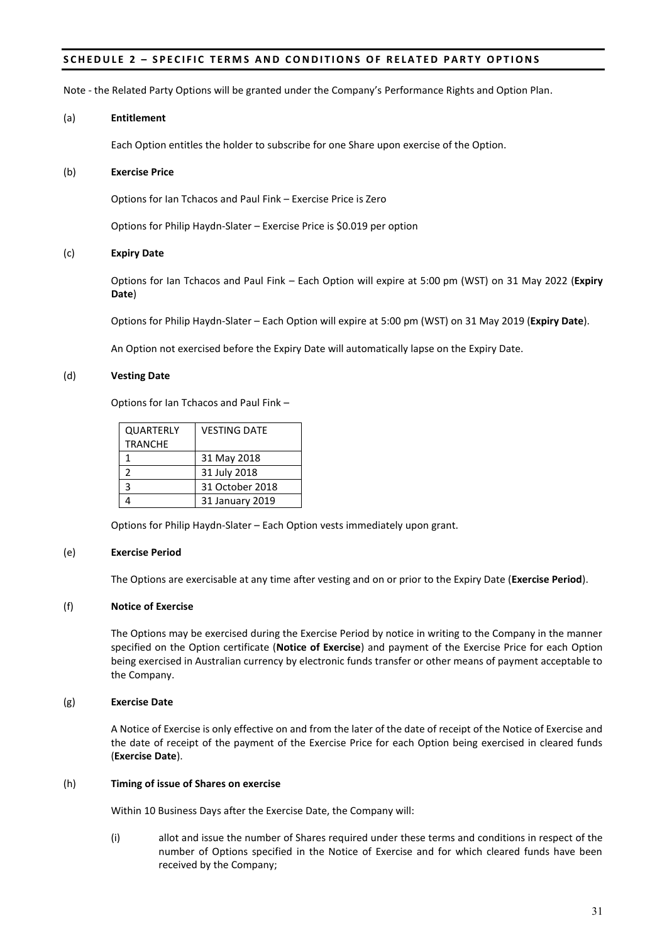## **SCHEDULE 2 – SPECIFIC TERMS AND CONDITIONS OF RELATED PARTY OPTIONS**

Note - the Related Party Options will be granted under the Company's Performance Rights and Option Plan.

#### (a) **Entitlement**

Each Option entitles the holder to subscribe for one Share upon exercise of the Option.

### (b) **Exercise Price**

Options for Ian Tchacos and Paul Fink – Exercise Price is Zero

Options for Philip Haydn-Slater – Exercise Price is \$0.019 per option

### (c) **Expiry Date**

Options for Ian Tchacos and Paul Fink – Each Option will expire at 5:00 pm (WST) on 31 May 2022 (**Expiry Date**)

Options for Philip Haydn-Slater – Each Option will expire at 5:00 pm (WST) on 31 May 2019 (**Expiry Date**).

An Option not exercised before the Expiry Date will automatically lapse on the Expiry Date.

### (d) **Vesting Date**

Options for Ian Tchacos and Paul Fink –

| <b>QUARTERLY</b><br><b>TRANCHE</b> | <b>VESTING DATE</b> |
|------------------------------------|---------------------|
|                                    | 31 May 2018         |
| 2                                  | 31 July 2018        |
| ς                                  | 31 October 2018     |
|                                    | 31 January 2019     |

Options for Philip Haydn-Slater – Each Option vests immediately upon grant.

## (e) **Exercise Period**

The Options are exercisable at any time after vesting and on or prior to the Expiry Date (**Exercise Period**).

## (f) **Notice of Exercise**

The Options may be exercised during the Exercise Period by notice in writing to the Company in the manner specified on the Option certificate (**Notice of Exercise**) and payment of the Exercise Price for each Option being exercised in Australian currency by electronic funds transfer or other means of payment acceptable to the Company.

## (g) **Exercise Date**

A Notice of Exercise is only effective on and from the later of the date of receipt of the Notice of Exercise and the date of receipt of the payment of the Exercise Price for each Option being exercised in cleared funds (**Exercise Date**).

## (h) **Timing of issue of Shares on exercise**

Within 10 Business Days after the Exercise Date, the Company will:

(i) allot and issue the number of Shares required under these terms and conditions in respect of the number of Options specified in the Notice of Exercise and for which cleared funds have been received by the Company;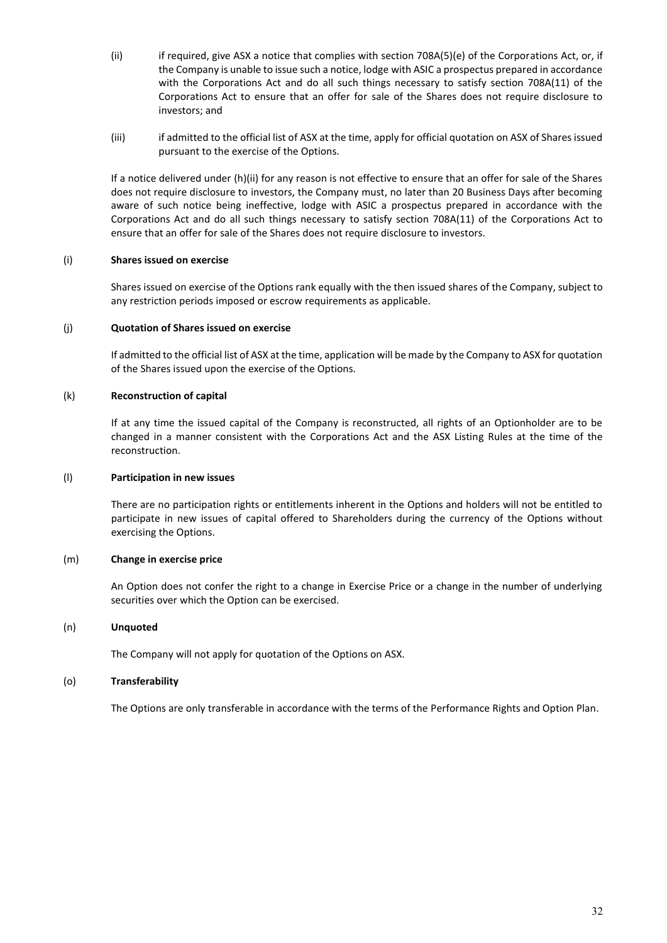- (ii) if required, give ASX a notice that complies with section 708A(5)(e) of the Corporations Act, or, if the Company is unable to issue such a notice, lodge with ASIC a prospectus prepared in accordance with the Corporations Act and do all such things necessary to satisfy section 708A(11) of the Corporations Act to ensure that an offer for sale of the Shares does not require disclosure to investors; and
- (iii) if admitted to the official list of ASX at the time, apply for official quotation on ASX of Shares issued pursuant to the exercise of the Options.

If a notice delivered under (h)(ii) for any reason is not effective to ensure that an offer for sale of the Shares does not require disclosure to investors, the Company must, no later than 20 Business Days after becoming aware of such notice being ineffective, lodge with ASIC a prospectus prepared in accordance with the Corporations Act and do all such things necessary to satisfy section 708A(11) of the Corporations Act to ensure that an offer for sale of the Shares does not require disclosure to investors.

## (i) **Shares issued on exercise**

Shares issued on exercise of the Options rank equally with the then issued shares of the Company, subject to any restriction periods imposed or escrow requirements as applicable.

## (j) **Quotation of Shares issued on exercise**

If admitted to the official list of ASX at the time, application will be made by the Company to ASX for quotation of the Shares issued upon the exercise of the Options.

## (k) **Reconstruction of capital**

If at any time the issued capital of the Company is reconstructed, all rights of an Optionholder are to be changed in a manner consistent with the Corporations Act and the ASX Listing Rules at the time of the reconstruction.

## (l) **Participation in new issues**

There are no participation rights or entitlements inherent in the Options and holders will not be entitled to participate in new issues of capital offered to Shareholders during the currency of the Options without exercising the Options.

## (m) **Change in exercise price**

An Option does not confer the right to a change in Exercise Price or a change in the number of underlying securities over which the Option can be exercised.

## (n) **Unquoted**

The Company will not apply for quotation of the Options on ASX.

## (o) **Transferability**

The Options are only transferable in accordance with the terms of the Performance Rights and Option Plan.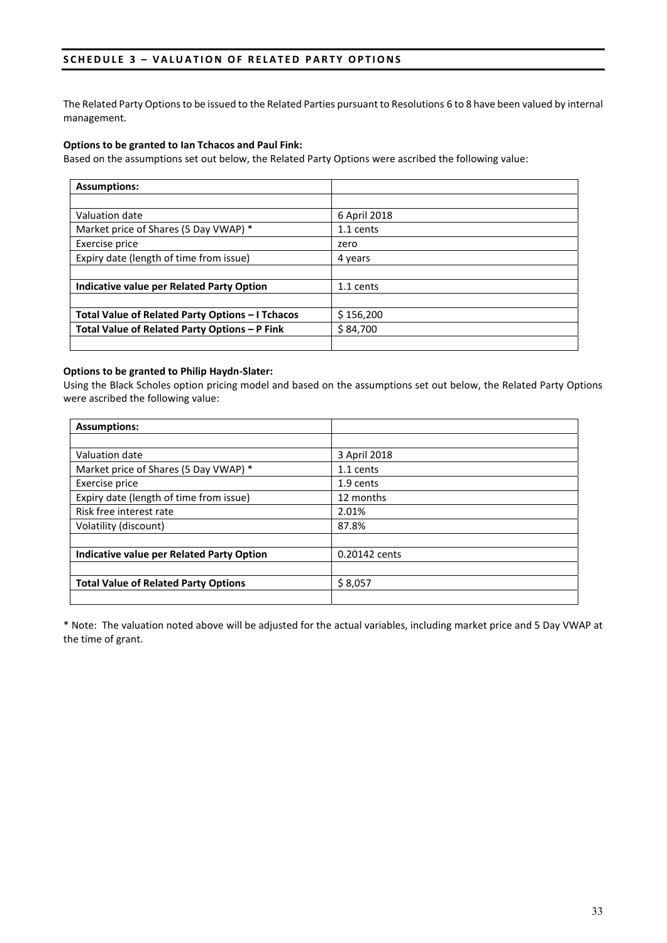## **SCHEDULE 3 – VALUATION OF RELATED PARTY OPTIONS**

The Related Party Options to be issued to the Related Parties pursuant to Resolutions 6 to 8 have been valued by internal management.

## **Options to be granted to Ian Tchacos and Paul Fink:**

Based on the assumptions set out below, the Related Party Options were ascribed the following value:

| <b>Assumptions:</b>                              |              |
|--------------------------------------------------|--------------|
|                                                  |              |
| Valuation date                                   | 6 April 2018 |
| Market price of Shares (5 Day VWAP) *            | 1.1 cents    |
| Exercise price                                   | zero         |
| Expiry date (length of time from issue)          | 4 years      |
|                                                  |              |
| Indicative value per Related Party Option        | 1.1 cents    |
|                                                  |              |
| Total Value of Related Party Options - I Tchacos | \$156,200    |
| Total Value of Related Party Options - P Fink    | \$84,700     |
|                                                  |              |

## **Options to be granted to Philip Haydn-Slater:**

Using the Black Scholes option pricing model and based on the assumptions set out below, the Related Party Options were ascribed the following value:

| <b>Assumptions:</b>                         |               |
|---------------------------------------------|---------------|
|                                             |               |
| Valuation date                              | 3 April 2018  |
| Market price of Shares (5 Day VWAP) *       | 1.1 cents     |
| Exercise price                              | 1.9 cents     |
| Expiry date (length of time from issue)     | 12 months     |
| Risk free interest rate                     | 2.01%         |
| Volatility (discount)                       | 87.8%         |
|                                             |               |
| Indicative value per Related Party Option   | 0.20142 cents |
|                                             |               |
| <b>Total Value of Related Party Options</b> | \$8,057       |
|                                             |               |

\* Note: The valuation noted above will be adjusted for the actual variables, including market price and 5 Day VWAP at the time of grant.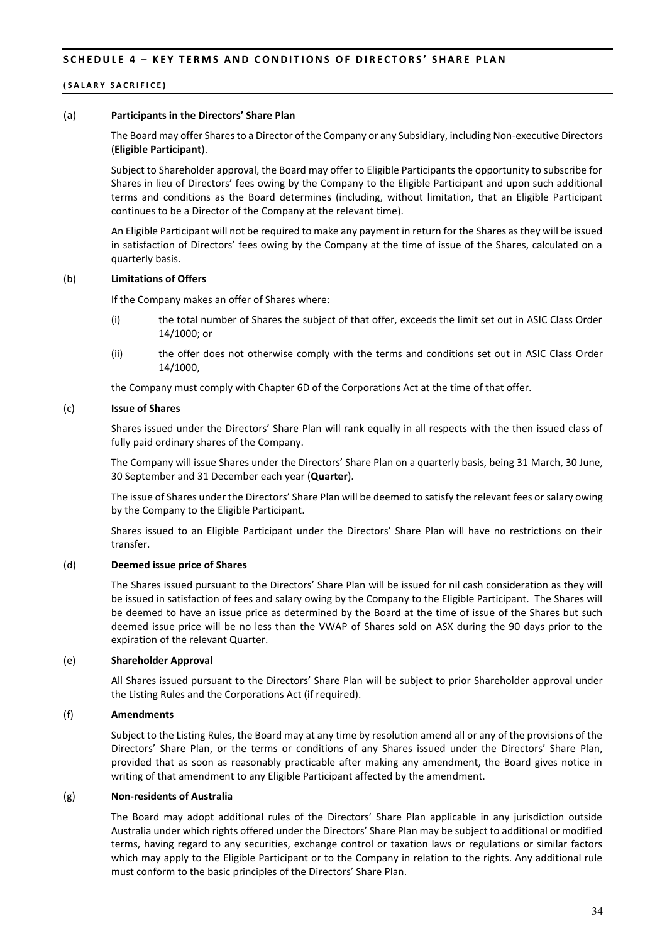#### **(SALARY SACRIFICE)**

#### (a) **Participants in the Directors' Share Plan**

The Board may offer Shares to a Director of the Company or any Subsidiary, including Non-executive Directors (**Eligible Participant**).

Subject to Shareholder approval, the Board may offer to Eligible Participants the opportunity to subscribe for Shares in lieu of Directors' fees owing by the Company to the Eligible Participant and upon such additional terms and conditions as the Board determines (including, without limitation, that an Eligible Participant continues to be a Director of the Company at the relevant time).

An Eligible Participant will not be required to make any payment in return for the Shares as they will be issued in satisfaction of Directors' fees owing by the Company at the time of issue of the Shares, calculated on a quarterly basis.

#### (b) **Limitations of Offers**

If the Company makes an offer of Shares where:

- (i) the total number of Shares the subject of that offer, exceeds the limit set out in ASIC Class Order 14/1000; or
- (ii) the offer does not otherwise comply with the terms and conditions set out in ASIC Class Order 14/1000,

the Company must comply with Chapter 6D of the Corporations Act at the time of that offer.

#### (c) **Issue of Shares**

Shares issued under the Directors' Share Plan will rank equally in all respects with the then issued class of fully paid ordinary shares of the Company.

The Company will issue Shares under the Directors' Share Plan on a quarterly basis, being 31 March, 30 June, 30 September and 31 December each year (**Quarter**).

The issue of Shares under the Directors' Share Plan will be deemed to satisfy the relevant fees or salary owing by the Company to the Eligible Participant.

Shares issued to an Eligible Participant under the Directors' Share Plan will have no restrictions on their transfer.

#### (d) **Deemed issue price of Shares**

The Shares issued pursuant to the Directors' Share Plan will be issued for nil cash consideration as they will be issued in satisfaction of fees and salary owing by the Company to the Eligible Participant. The Shares will be deemed to have an issue price as determined by the Board at the time of issue of the Shares but such deemed issue price will be no less than the VWAP of Shares sold on ASX during the 90 days prior to the expiration of the relevant Quarter.

#### (e) **Shareholder Approval**

All Shares issued pursuant to the Directors' Share Plan will be subject to prior Shareholder approval under the Listing Rules and the Corporations Act (if required).

#### (f) **Amendments**

Subject to the Listing Rules, the Board may at any time by resolution amend all or any of the provisions of the Directors' Share Plan, or the terms or conditions of any Shares issued under the Directors' Share Plan, provided that as soon as reasonably practicable after making any amendment, the Board gives notice in writing of that amendment to any Eligible Participant affected by the amendment.

#### (g) **Non-residents of Australia**

The Board may adopt additional rules of the Directors' Share Plan applicable in any jurisdiction outside Australia under which rights offered under the Directors' Share Plan may be subject to additional or modified terms, having regard to any securities, exchange control or taxation laws or regulations or similar factors which may apply to the Eligible Participant or to the Company in relation to the rights. Any additional rule must conform to the basic principles of the Directors' Share Plan.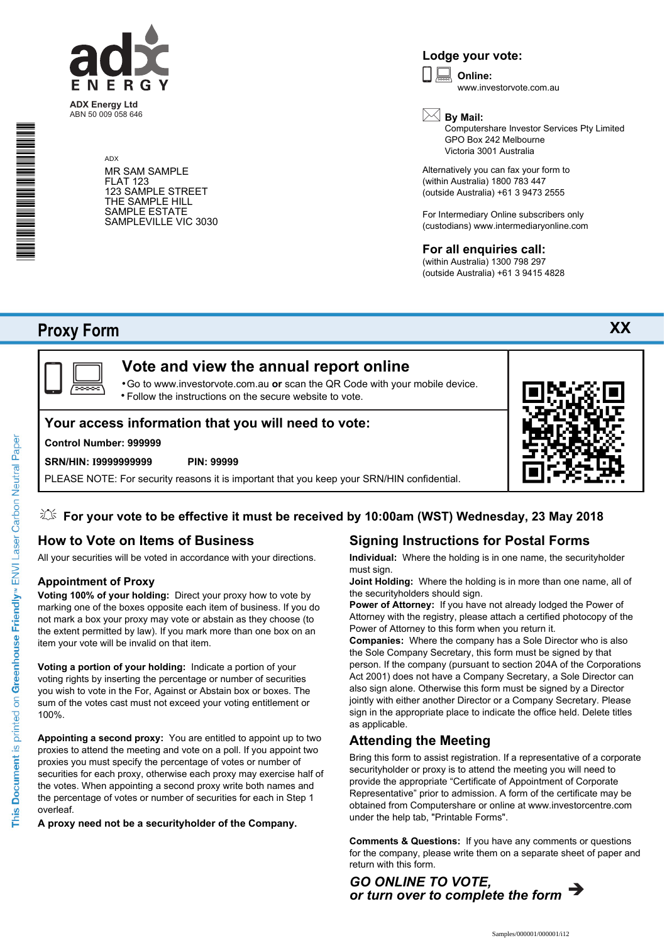

**ADX Energy Ltd** ABN 50 009 058 646

> ADX MR SAM SAMPLE FLAT 123 123 SAMPLE STREET THE SAMPLE HILL SAMPLE ESTATE SAMPLEVILLE VIC 3030

## **Lodge your vote:**

**Online:** www.investorvote.com.au  $\boxed{\Box}$ 



Computershare Investor Services Pty Limited GPO Box 242 Melbourne Victoria 3001 Australia

Alternatively you can fax your form to (within Australia) 1800 783 447 (outside Australia) +61 3 9473 2555

For Intermediary Online subscribers only (custodians) www.intermediaryonline.com

## **For all enquiries call:**

(within Australia) 1300 798 297 (outside Australia) +61 3 9415 4828

# **Proxy Form**

\* S0000112<br>S0000112<br>S0000112



# **Vote and view the annual report online**

Go to www.investorvote.com.au **or** scan the QR Code with your mobile device. Follow the instructions on the secure website to vote. •

## **Your access information that you will need to vote:**

## **Control Number: 999999**

#### **SRN/HIN: I9999999999 PIN: 99999**

PLEASE NOTE: For security reasons it is important that you keep your SRN/HIN confidential.

## **For your vote to be effective it must be received by 10:00am (WST) Wednesday, 23 May 2018**

## **How to Vote on Items of Business**

All your securities will be voted in accordance with your directions.

## **Appointment of Proxy**

**Voting 100% of your holding:** Direct your proxy how to vote by marking one of the boxes opposite each item of business. If you do not mark a box your proxy may vote or abstain as they choose (to the extent permitted by law). If you mark more than one box on an item your vote will be invalid on that item.

**Voting a portion of your holding:** Indicate a portion of your voting rights by inserting the percentage or number of securities you wish to vote in the For, Against or Abstain box or boxes. The sum of the votes cast must not exceed your voting entitlement or 100%.

**Appointing a second proxy:** You are entitled to appoint up to two proxies to attend the meeting and vote on a poll. If you appoint two proxies you must specify the percentage of votes or number of securities for each proxy, otherwise each proxy may exercise half of the votes. When appointing a second proxy write both names and the percentage of votes or number of securities for each in Step 1 overleaf.

**A proxy need not be a securityholder of the Company.**

## **Signing Instructions for Postal Forms**

**Individual:** Where the holding is in one name, the securityholder must sign.

**Joint Holding:** Where the holding is in more than one name, all of the securityholders should sign.

**Power of Attorney:** If you have not already lodged the Power of Attorney with the registry, please attach a certified photocopy of the Power of Attorney to this form when you return it.

**Companies:** Where the company has a Sole Director who is also the Sole Company Secretary, this form must be signed by that person. If the company (pursuant to section 204A of the Corporations Act 2001) does not have a Company Secretary, a Sole Director can also sign alone. Otherwise this form must be signed by a Director jointly with either another Director or a Company Secretary. Please sign in the appropriate place to indicate the office held. Delete titles as applicable.

## **Attending the Meeting**

Bring this form to assist registration. If a representative of a corporate securityholder or proxy is to attend the meeting you will need to provide the appropriate "Certificate of Appointment of Corporate Representative" prior to admission. A form of the certificate may be obtained from Computershare or online at www.investorcentre.com under the help tab, "Printable Forms".

**Comments & Questions:** If you have any comments or questions for the company, please write them on a separate sheet of paper and return with this form.



**XX**